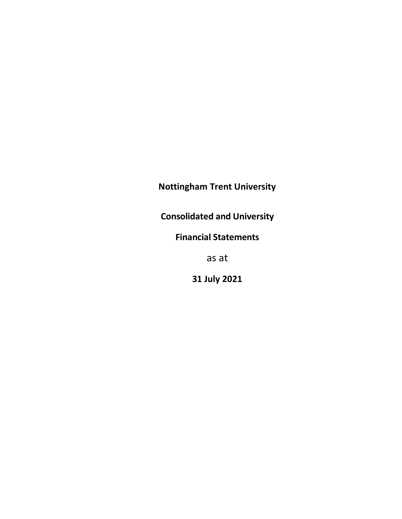Nottingham Trent University

Consolidated and University

Financial Statements

as at

31 July 2021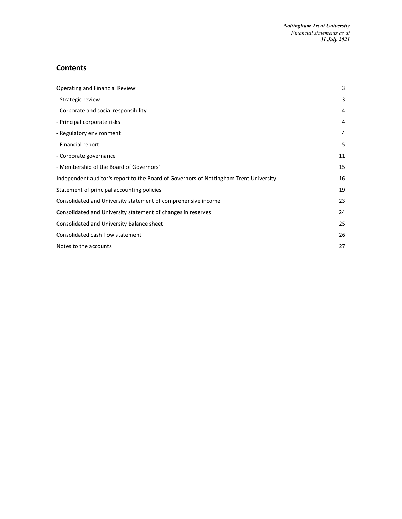# **Contents**

| Operating and Financial Review                                                        | 3  |
|---------------------------------------------------------------------------------------|----|
| - Strategic review                                                                    | 3  |
| - Corporate and social responsibility                                                 | 4  |
| - Principal corporate risks                                                           | 4  |
| - Regulatory environment                                                              | 4  |
| - Financial report                                                                    | 5  |
| - Corporate governance                                                                | 11 |
| - Membership of the Board of Governors'                                               | 15 |
| Independent auditor's report to the Board of Governors of Nottingham Trent University | 16 |
| Statement of principal accounting policies                                            | 19 |
| Consolidated and University statement of comprehensive income                         | 23 |
| Consolidated and University statement of changes in reserves                          | 24 |
| Consolidated and University Balance sheet                                             | 25 |
| Consolidated cash flow statement                                                      | 26 |
| Notes to the accounts                                                                 | 27 |
|                                                                                       |    |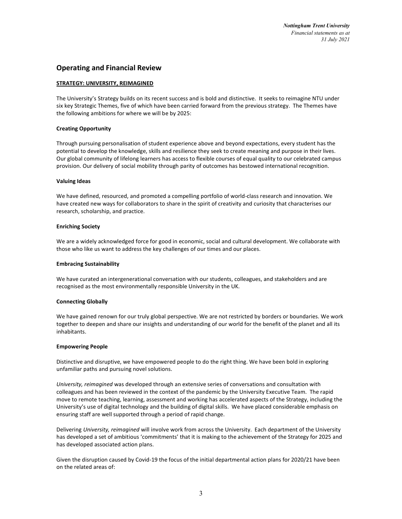# Operating and Financial Review

### STRATEGY: UNIVERSITY, REIMAGINED

The University's Strategy builds on its recent success and is bold and distinctive. It seeks to reimagine NTU under six key Strategic Themes, five of which have been carried forward from the previous strategy. The Themes have the following ambitions for where we will be by 2025:

### Creating Opportunity

Through pursuing personalisation of student experience above and beyond expectations, every student has the potential to develop the knowledge, skills and resilience they seek to create meaning and purpose in their lives. Our global community of lifelong learners has access to flexible courses of equal quality to our celebrated campus provision. Our delivery of social mobility through parity of outcomes has bestowed international recognition.

#### Valuing Ideas

We have defined, resourced, and promoted a compelling portfolio of world-class research and innovation. We have created new ways for collaborators to share in the spirit of creativity and curiosity that characterises our research, scholarship, and practice.

#### Enriching Society

We are a widely acknowledged force for good in economic, social and cultural development. We collaborate with those who like us want to address the key challenges of our times and our places.

#### Embracing Sustainability

We have curated an intergenerational conversation with our students, colleagues, and stakeholders and are recognised as the most environmentally responsible University in the UK.

#### Connecting Globally

We have gained renown for our truly global perspective. We are not restricted by borders or boundaries. We work together to deepen and share our insights and understanding of our world for the benefit of the planet and all its inhabitants.

#### Empowering People

Distinctive and disruptive, we have empowered people to do the right thing. We have been bold in exploring unfamiliar paths and pursuing novel solutions.

University, reimagined was developed through an extensive series of conversations and consultation with colleagues and has been reviewed in the context of the pandemic by the University Executive Team. The rapid move to remote teaching, learning, assessment and working has accelerated aspects of the Strategy, including the University's use of digital technology and the building of digital skills. We have placed considerable emphasis on ensuring staff are well supported through a period of rapid change.

Delivering University, reimagined will involve work from across the University. Each department of the University has developed a set of ambitious 'commitments' that it is making to the achievement of the Strategy for 2025 and has developed associated action plans.

Given the disruption caused by Covid-19 the focus of the initial departmental action plans for 2020/21 have been on the related areas of: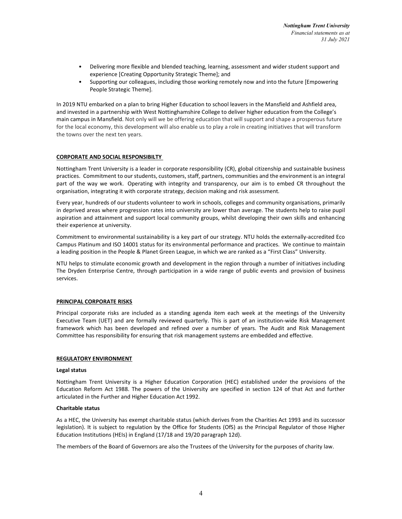- Delivering more flexible and blended teaching, learning, assessment and wider student support and experience [Creating Opportunity Strategic Theme]; and
- Supporting our colleagues, including those working remotely now and into the future [Empowering People Strategic Theme].

In 2019 NTU embarked on a plan to bring Higher Education to school leavers in the Mansfield and Ashfield area, and invested in a partnership with West Nottinghamshire College to deliver higher education from the College's main campus in Mansfield. Not only will we be offering education that will support and shape a prosperous future for the local economy, this development will also enable us to play a role in creating initiatives that will transform the towns over the next ten years.

# CORPORATE AND SOCIAL RESPONSIBILTY

Nottingham Trent University is a leader in corporate responsibility (CR), global citizenship and sustainable business practices. Commitment to our students, customers, staff, partners, communities and the environment is an integral part of the way we work. Operating with integrity and transparency, our aim is to embed CR throughout the organisation, integrating it with corporate strategy, decision making and risk assessment.

Every year, hundreds of our students volunteer to work in schools, colleges and community organisations, primarily in deprived areas where progression rates into university are lower than average. The students help to raise pupil aspiration and attainment and support local community groups, whilst developing their own skills and enhancing their experience at university.

Commitment to environmental sustainability is a key part of our strategy. NTU holds the externally-accredited Eco Campus Platinum and ISO 14001 status for its environmental performance and practices. We continue to maintain a leading position in the People & Planet Green League, in which we are ranked as a "First Class" University.

NTU helps to stimulate economic growth and development in the region through a number of initiatives including The Dryden Enterprise Centre, through participation in a wide range of public events and provision of business services.

# PRINCIPAL CORPORATE RISKS

Principal corporate risks are included as a standing agenda item each week at the meetings of the University Executive Team (UET) and are formally reviewed quarterly. This is part of an institution-wide Risk Management framework which has been developed and refined over a number of years. The Audit and Risk Management Committee has responsibility for ensuring that risk management systems are embedded and effective.

# REGULATORY ENVIRONMENT

# Legal status

Nottingham Trent University is a Higher Education Corporation (HEC) established under the provisions of the Education Reform Act 1988. The powers of the University are specified in section 124 of that Act and further articulated in the Further and Higher Education Act 1992.

# Charitable status

As a HEC, the University has exempt charitable status (which derives from the Charities Act 1993 and its successor legislation). It is subject to regulation by the Office for Students (OfS) as the Principal Regulator of those Higher Education Institutions (HEIs) in England (17/18 and 19/20 paragraph 12d).

The members of the Board of Governors are also the Trustees of the University for the purposes of charity law.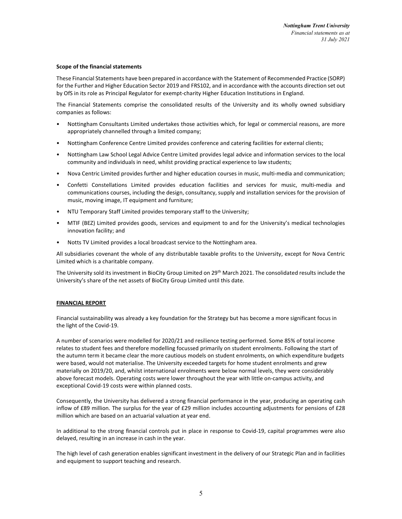### Scope of the financial statements

These Financial Statements have been prepared in accordance with the Statement of Recommended Practice (SORP) for the Further and Higher Education Sector 2019 and FRS102, and in accordance with the accounts direction set out by OfS in its role as Principal Regulator for exempt-charity Higher Education Institutions in England.

The Financial Statements comprise the consolidated results of the University and its wholly owned subsidiary companies as follows:

- Nottingham Consultants Limited undertakes those activities which, for legal or commercial reasons, are more appropriately channelled through a limited company;
- Nottingham Conference Centre Limited provides conference and catering facilities for external clients;
- Nottingham Law School Legal Advice Centre Limited provides legal advice and information services to the local community and individuals in need, whilst providing practical experience to law students;
- Nova Centric Limited provides further and higher education courses in music, multi-media and communication;
- Confetti Constellations Limited provides education facilities and services for music, multi-media and communications courses, including the design, consultancy, supply and installation services for the provision of music, moving image, IT equipment and furniture;
- NTU Temporary Staff Limited provides temporary staff to the University;
- MTIF (BEZ) Limited provides goods, services and equipment to and for the University's medical technologies innovation facility; and
- Notts TV Limited provides a local broadcast service to the Nottingham area.

All subsidiaries covenant the whole of any distributable taxable profits to the University, except for Nova Centric Limited which is a charitable company.

The University sold its investment in BioCity Group Limited on 29<sup>th</sup> March 2021. The consolidated results include the University's share of the net assets of BioCity Group Limited until this date.

# FINANCIAL REPORT

Financial sustainability was already a key foundation for the Strategy but has become a more significant focus in the light of the Covid-19.

A number of scenarios were modelled for 2020/21 and resilience testing performed. Some 85% of total income relates to student fees and therefore modelling focussed primarily on student enrolments. Following the start of the autumn term it became clear the more cautious models on student enrolments, on which expenditure budgets were based, would not materialise. The University exceeded targets for home student enrolments and grew materially on 2019/20, and, whilst international enrolments were below normal levels, they were considerably above forecast models. Operating costs were lower throughout the year with little on-campus activity, and exceptional Covid-19 costs were within planned costs.

Consequently, the University has delivered a strong financial performance in the year, producing an operating cash inflow of £89 million. The surplus for the year of £29 million includes accounting adjustments for pensions of £28 million which are based on an actuarial valuation at year end.

In additional to the strong financial controls put in place in response to Covid-19, capital programmes were also delayed, resulting in an increase in cash in the year.

The high level of cash generation enables significant investment in the delivery of our Strategic Plan and in facilities and equipment to support teaching and research.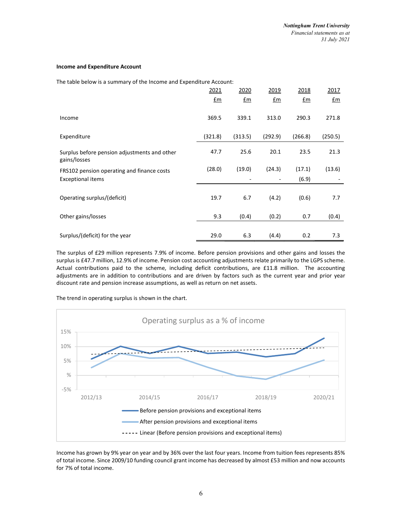### Income and Expenditure Account

The table below is a summary of the Income and Expenditure Account:

|                                                              | 2021    | 2020    | 2019                     | 2018           | 2017    |
|--------------------------------------------------------------|---------|---------|--------------------------|----------------|---------|
|                                                              | £m      | £m      | £m                       | $f_{\text{m}}$ | £m      |
| Income                                                       | 369.5   | 339.1   | 313.0                    | 290.3          | 271.8   |
| Expenditure                                                  | (321.8) | (313.5) | (292.9)                  | (266.8)        | (250.5) |
| Surplus before pension adjustments and other<br>gains/losses | 47.7    | 25.6    | 20.1                     | 23.5           | 21.3    |
| FRS102 pension operating and finance costs                   | (28.0)  | (19.0)  | (24.3)                   | (17.1)         | (13.6)  |
| <b>Exceptional items</b>                                     |         |         | $\overline{\phantom{a}}$ | (6.9)          |         |
| Operating surplus/(deficit)                                  | 19.7    | 6.7     | (4.2)                    | (0.6)          | 7.7     |
| Other gains/losses                                           | 9.3     | (0.4)   | (0.2)                    | 0.7            | (0.4)   |
|                                                              |         |         |                          |                |         |
| Surplus/(deficit) for the year                               | 29.0    | 6.3     | (4.4)                    | 0.2            | 7.3     |

The surplus of £29 million represents 7.9% of income. Before pension provisions and other gains and losses the surplus is £47.7 million, 12.9% of income. Pension cost accounting adjustments relate primarily to the LGPS scheme. Actual contributions paid to the scheme, including deficit contributions, are £11.8 million. The accounting adjustments are in addition to contributions and are driven by factors such as the current year and prior year discount rate and pension increase assumptions, as well as return on net assets.

The trend in operating surplus is shown in the chart.



Income has grown by 9% year on year and by 36% over the last four years. Income from tuition fees represents 85% of total income. Since 2009/10 funding council grant income has decreased by almost £53 million and now accounts for 7% of total income.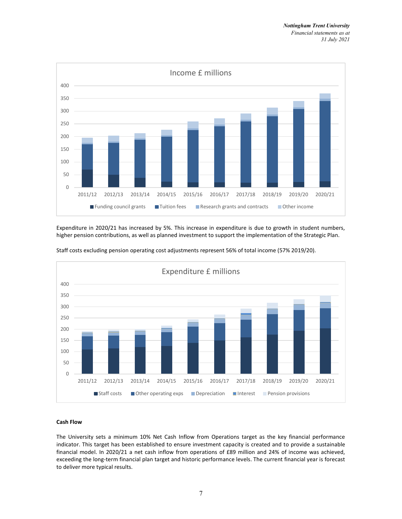

Expenditure in 2020/21 has increased by 5%. This increase in expenditure is due to growth in student numbers, higher pension contributions, as well as planned investment to support the implementation of the Strategic Plan.



Staff costs excluding pension operating cost adjustments represent 56% of total income (57% 2019/20).

# Cash Flow

The University sets a minimum 10% Net Cash Inflow from Operations target as the key financial performance indicator. This target has been established to ensure investment capacity is created and to provide a sustainable financial model. In 2020/21 a net cash inflow from operations of £89 million and 24% of income was achieved, exceeding the long-term financial plan target and historic performance levels. The current financial year is forecast to deliver more typical results.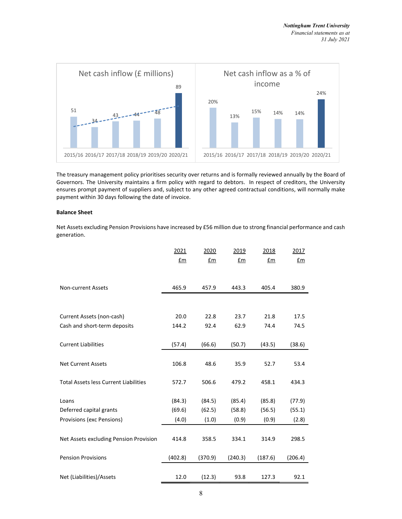

The treasury management policy prioritises security over returns and is formally reviewed annually by the Board of Governors. The University maintains a firm policy with regard to debtors. In respect of creditors, the University ensures prompt payment of suppliers and, subject to any other agreed contractual conditions, will normally make payment within 30 days following the date of invoice.

### Balance Sheet

Net Assets excluding Pension Provisions have increased by £56 million due to strong financial performance and cash generation.

|                                              | 2021           | 2020    | 2019    | 2018    | 2017    |
|----------------------------------------------|----------------|---------|---------|---------|---------|
|                                              | $f_{\text{m}}$ | £m      | £m      | £m      | £m      |
|                                              |                |         |         |         |         |
|                                              |                |         |         |         |         |
| <b>Non-current Assets</b>                    | 465.9          | 457.9   | 443.3   | 405.4   | 380.9   |
|                                              |                |         |         |         |         |
| Current Assets (non-cash)                    | 20.0           | 22.8    | 23.7    | 21.8    | 17.5    |
| Cash and short-term deposits                 | 144.2          | 92.4    | 62.9    | 74.4    | 74.5    |
|                                              |                |         |         |         |         |
| <b>Current Liabilities</b>                   | (57.4)         | (66.6)  | (50.7)  | (43.5)  | (38.6)  |
|                                              |                |         |         |         |         |
| <b>Net Current Assets</b>                    | 106.8          | 48.6    | 35.9    | 52.7    | 53.4    |
|                                              |                |         |         |         |         |
| <b>Total Assets less Current Liabilities</b> | 572.7          | 506.6   | 479.2   | 458.1   | 434.3   |
|                                              |                |         |         |         |         |
| Loans                                        | (84.3)         | (84.5)  | (85.4)  | (85.8)  | (77.9)  |
| Deferred capital grants                      | (69.6)         | (62.5)  | (58.8)  | (56.5)  | (55.1)  |
| Provisions (exc Pensions)                    | (4.0)          | (1.0)   | (0.9)   | (0.9)   | (2.8)   |
|                                              |                |         |         |         |         |
| Net Assets excluding Pension Provision       | 414.8          | 358.5   | 334.1   | 314.9   | 298.5   |
|                                              |                |         |         |         |         |
| <b>Pension Provisions</b>                    | (402.8)        | (370.9) | (240.3) | (187.6) | (206.4) |
|                                              |                |         |         |         |         |
| Net (Liabilities)/Assets                     | 12.0           | (12.3)  | 93.8    | 127.3   | 92.1    |
|                                              |                |         |         |         |         |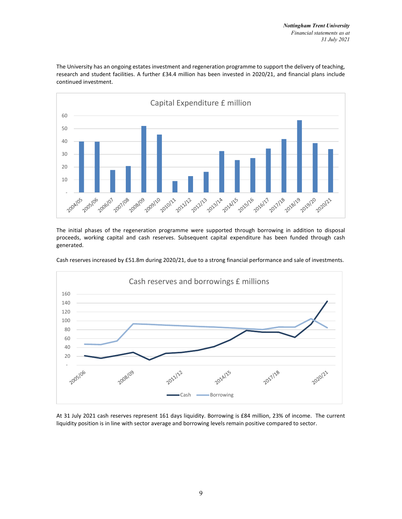

The University has an ongoing estates investment and regeneration programme to support the delivery of teaching, research and student facilities. A further £34.4 million has been invested in 2020/21, and financial plans include continued investment.

The initial phases of the regeneration programme were supported through borrowing in addition to disposal proceeds, working capital and cash reserves. Subsequent capital expenditure has been funded through cash generated.

Cash reserves increased by £51.8m during 2020/21, due to a strong financial performance and sale of investments.



At 31 July 2021 cash reserves represent 161 days liquidity. Borrowing is £84 million, 23% of income. The current liquidity position is in line with sector average and borrowing levels remain positive compared to sector.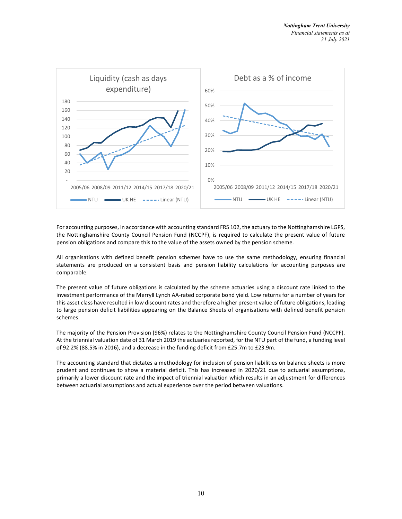

For accounting purposes, in accordance with accounting standard FRS 102, the actuary to the Nottinghamshire LGPS, the Nottinghamshire County Council Pension Fund (NCCPF), is required to calculate the present value of future pension obligations and compare this to the value of the assets owned by the pension scheme.

All organisations with defined benefit pension schemes have to use the same methodology, ensuring financial statements are produced on a consistent basis and pension liability calculations for accounting purposes are comparable.

The present value of future obligations is calculated by the scheme actuaries using a discount rate linked to the investment performance of the Merryll Lynch AA-rated corporate bond yield. Low returns for a number of years for this asset class have resulted in low discount rates and therefore a higher present value of future obligations, leading to large pension deficit liabilities appearing on the Balance Sheets of organisations with defined benefit pension schemes.

The majority of the Pension Provision (96%) relates to the Nottinghamshire County Council Pension Fund (NCCPF). At the triennial valuation date of 31 March 2019 the actuaries reported, for the NTU part of the fund, a funding level of 92.2% (88.5% in 2016), and a decrease in the funding deficit from £25.7m to £23.9m.

The accounting standard that dictates a methodology for inclusion of pension liabilities on balance sheets is more prudent and continues to show a material deficit. This has increased in 2020/21 due to actuarial assumptions, primarily a lower discount rate and the impact of triennial valuation which results in an adjustment for differences between actuarial assumptions and actual experience over the period between valuations.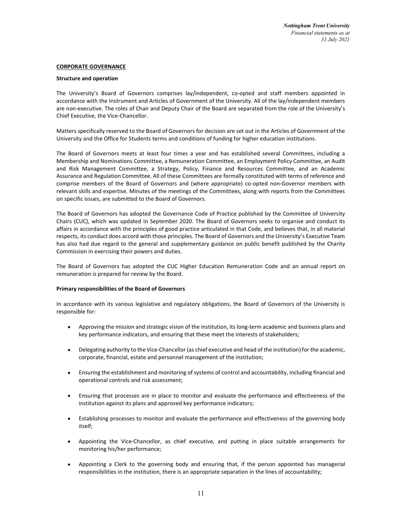### CORPORATE GOVERNANCE

### Structure and operation

The University's Board of Governors comprises lay/independent, co-opted and staff members appointed in accordance with the Instrument and Articles of Government of the University. All of the lay/independent members are non-executive. The roles of Chair and Deputy Chair of the Board are separated from the role of the University's Chief Executive, the Vice-Chancellor.

Matters specifically reserved to the Board of Governors for decision are set out in the Articles of Government of the University and the Office for Students terms and conditions of funding for higher education institutions.

The Board of Governors meets at least four times a year and has established several Committees, including a Membership and Nominations Committee, a Remuneration Committee, an Employment Policy Committee, an Audit and Risk Management Committee, a Strategy, Policy, Finance and Resources Committee, and an Academic Assurance and Regulation Committee. All of these Committees are formally constituted with terms of reference and comprise members of the Board of Governors and (where appropriate) co-opted non-Governor members with relevant skills and expertise. Minutes of the meetings of the Committees, along with reports from the Committees on specific issues, are submitted to the Board of Governors.

The Board of Governors has adopted the Governance Code of Practice published by the Committee of University Chairs (CUC), which was updated in September 2020. The Board of Governors seeks to organise and conduct its affairs in accordance with the principles of good practice articulated in that Code, and believes that, in all material respects, its conduct does accord with those principles. The Board of Governors and the University's Executive Team has also had due regard to the general and supplementary guidance on public benefit published by the Charity Commission in exercising their powers and duties.

The Board of Governors has adopted the CUC Higher Education Remuneration Code and an annual report on remuneration is prepared for review by the Board.

# Primary responsibilities of the Board of Governors

In accordance with its various legislative and regulatory obligations, the Board of Governors of the University is responsible for:

- Approving the mission and strategic vision of the institution, its long-term academic and business plans and key performance indicators, and ensuring that these meet the interests of stakeholders;
- Delegating authority to the Vice-Chancellor (as chief executive and head of the institution) for the academic, corporate, financial, estate and personnel management of the institution;
- Ensuring the establishment and monitoring of systems of control and accountability, including financial and operational controls and risk assessment;
- Ensuring that processes are in place to monitor and evaluate the performance and effectiveness of the institution against its plans and approved key performance indicators;
- Establishing processes to monitor and evaluate the performance and effectiveness of the governing body itself;
- Appointing the Vice-Chancellor, as chief executive, and putting in place suitable arrangements for monitoring his/her performance;
- Appointing a Clerk to the governing body and ensuring that, if the person appointed has managerial responsibilities in the institution, there is an appropriate separation in the lines of accountability;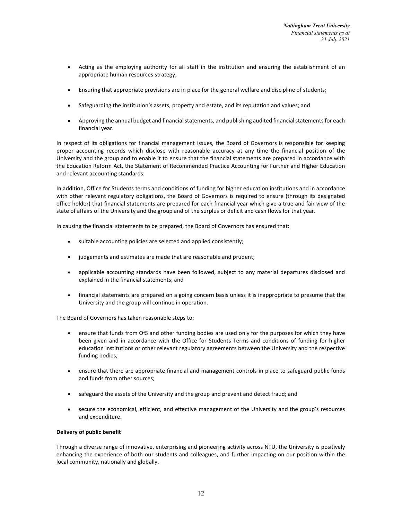- Acting as the employing authority for all staff in the institution and ensuring the establishment of an appropriate human resources strategy;
- Ensuring that appropriate provisions are in place for the general welfare and discipline of students;
- Safeguarding the institution's assets, property and estate, and its reputation and values; and
- Approving the annual budget and financial statements, and publishing audited financial statements for each financial year.

In respect of its obligations for financial management issues, the Board of Governors is responsible for keeping proper accounting records which disclose with reasonable accuracy at any time the financial position of the University and the group and to enable it to ensure that the financial statements are prepared in accordance with the Education Reform Act, the Statement of Recommended Practice Accounting for Further and Higher Education and relevant accounting standards.

In addition, Office for Students terms and conditions of funding for higher education institutions and in accordance with other relevant regulatory obligations, the Board of Governors is required to ensure (through its designated office holder) that financial statements are prepared for each financial year which give a true and fair view of the state of affairs of the University and the group and of the surplus or deficit and cash flows for that year.

In causing the financial statements to be prepared, the Board of Governors has ensured that:

- suitable accounting policies are selected and applied consistently;  $\bullet$
- judgements and estimates are made that are reasonable and prudent;
- applicable accounting standards have been followed, subject to any material departures disclosed and explained in the financial statements; and
- financial statements are prepared on a going concern basis unless it is inappropriate to presume that the  $\bullet$ University and the group will continue in operation.

The Board of Governors has taken reasonable steps to:

- ensure that funds from OfS and other funding bodies are used only for the purposes for which they have  $\bullet$ been given and in accordance with the Office for Students Terms and conditions of funding for higher education institutions or other relevant regulatory agreements between the University and the respective funding bodies;
- ensure that there are appropriate financial and management controls in place to safeguard public funds and funds from other sources;
- safeguard the assets of the University and the group and prevent and detect fraud; and
- secure the economical, efficient, and effective management of the University and the group's resources and expenditure.

### Delivery of public benefit

Through a diverse range of innovative, enterprising and pioneering activity across NTU, the University is positively enhancing the experience of both our students and colleagues, and further impacting on our position within the local community, nationally and globally.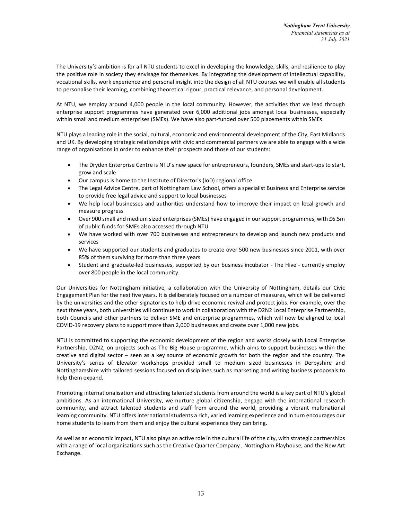The University's ambition is for all NTU students to excel in developing the knowledge, skills, and resilience to play the positive role in society they envisage for themselves. By integrating the development of intellectual capability, vocational skills, work experience and personal insight into the design of all NTU courses we will enable all students to personalise their learning, combining theoretical rigour, practical relevance, and personal development.

At NTU, we employ around 4,000 people in the local community. However, the activities that we lead through enterprise support programmes have generated over 6,000 additional jobs amongst local businesses, especially within small and medium enterprises (SMEs). We have also part-funded over 500 placements within SMEs.

NTU plays a leading role in the social, cultural, economic and environmental development of the City, East Midlands and UK. By developing strategic relationships with civic and commercial partners we are able to engage with a wide range of organisations in order to enhance their prospects and those of our students:

- The Dryden Enterprise Centre is NTU's new space for entrepreneurs, founders, SMEs and start-ups to start, grow and scale
- Our campus is home to the Institute of Director's (IoD) regional office
- The Legal Advice Centre, part of Nottingham Law School, offers a specialist Business and Enterprise service to provide free legal advice and support to local businesses
- We help local businesses and authorities understand how to improve their impact on local growth and measure progress
- Over 900 small and medium sized enterprises (SMEs) have engaged in our support programmes, with £6.5m of public funds for SMEs also accessed through NTU
- We have worked with over 700 businesses and entrepreneurs to develop and launch new products and services
- We have supported our students and graduates to create over 500 new businesses since 2001, with over 85% of them surviving for more than three years
- Student and graduate-led businesses, supported by our business incubator The Hive currently employ over 800 people in the local community.

Our Universities for Nottingham initiative, a collaboration with the University of Nottingham, details our Civic Engagement Plan for the next five years. It is deliberately focused on a number of measures, which will be delivered by the universities and the other signatories to help drive economic revival and protect jobs. For example, over the next three years, both universities will continue to work in collaboration with the D2N2 Local Enterprise Partnership, both Councils and other partners to deliver SME and enterprise programmes, which will now be aligned to local COVID-19 recovery plans to support more than 2,000 businesses and create over 1,000 new jobs.

NTU is committed to supporting the economic development of the region and works closely with Local Enterprise Partnership, D2N2, on projects such as The Big House programme, which aims to support businesses within the creative and digital sector – seen as a key source of economic growth for both the region and the country. The University's series of Elevator workshops provided small to medium sized businesses in Derbyshire and Nottinghamshire with tailored sessions focused on disciplines such as marketing and writing business proposals to help them expand.

Promoting internationalisation and attracting talented students from around the world is a key part of NTU's global ambitions. As an international University, we nurture global citizenship, engage with the international research community, and attract talented students and staff from around the world, providing a vibrant multinational learning community. NTU offers international students a rich, varied learning experience and in turn encourages our home students to learn from them and enjoy the cultural experience they can bring.

As well as an economic impact, NTU also plays an active role in the cultural life of the city, with strategic partnerships with a range of local organisations such as the Creative Quarter Company , Nottingham Playhouse, and the New Art Exchange.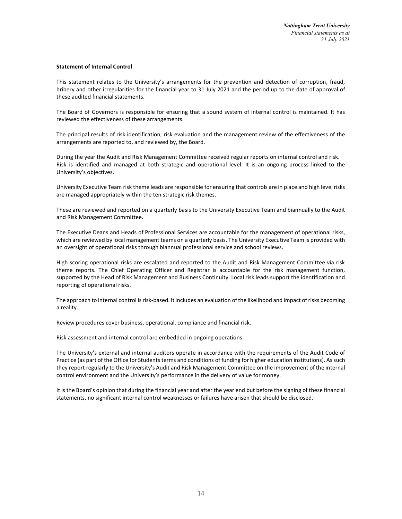### Statement of Internal Control

This statement relates to the University's arrangements for the prevention and detection of corruption, fraud, bribery and other irregularities for the financial year to 31 July 2021 and the period up to the date of approval of these audited financial statements.

The Board of Governors is responsible for ensuring that a sound system of internal control is maintained. It has reviewed the effectiveness of these arrangements.

The principal results of risk identification, risk evaluation and the management review of the effectiveness of the arrangements are reported to, and reviewed by, the Board.

During the year the Audit and Risk Management Committee received regular reports on internal control and risk. Risk is identified and managed at both strategic and operational level. It is an ongoing process linked to the University's objectives.

University Executive Team risk theme leads are responsible for ensuring that controls are in place and high level risks are managed appropriately within the ten strategic risk themes.

These are reviewed and reported on a quarterly basis to the University Executive Team and biannually to the Audit and Risk Management Committee.

The Executive Deans and Heads of Professional Services are accountable for the management of operational risks, which are reviewed by local management teams on a quarterly basis. The University Executive Team is provided with an oversight of operational risks through biannual professional service and school reviews.

High scoring operational risks are escalated and reported to the Audit and Risk Management Committee via risk theme reports. The Chief Operating Officer and Registrar is accountable for the risk management function, supported by the Head of Risk Management and Business Continuity. Local risk leads support the identification and reporting of operational risks.

The approach to internal control is risk-based. It includes an evaluation of the likelihood and impact of risks becoming a reality.

Review procedures cover business, operational, compliance and financial risk.

Risk assessment and internal control are embedded in ongoing operations.

The University's external and internal auditors operate in accordance with the requirements of the Audit Code of Practice (as part of the Office for Students terms and conditions of funding for higher education institutions). As such they report regularly to the University's Audit and Risk Management Committee on the improvement of the internal control environment and the University's performance in the delivery of value for money.

It is the Board's opinion that during the financial year and after the year end but before the signing of these financial statements, no significant internal control weaknesses or failures have arisen that should be disclosed.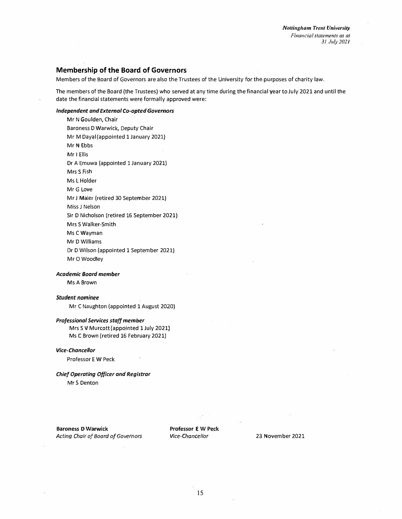# **Membership of the Board of Governors**

Members of the Board of Governors are also the Trustees of the University for the purposes of charity law.

The members of the Board (the Trustees) who served at any time during the financial year to July 2021 and until the date the financial statements were formally approved were:

### *Independent and External Co-opted Governors*

Mr N Goulden, Chair Baroness D Warwick, Deputy Chair Mr M Dayal (appointed 1 January 2021) Mr N Ebbs **Mr** I Ellis Dr A Emuwa (appointed 1 January 2021) Mrs S Fish Ms L Holder MrG Love Mr J **Maier** (retired 30 September 2021) Miss J Nelson Sir D Nicholson.(retired 16 September 2021) Mrs S Walker-Smith MsCWayman MrDWilliams Dr D Wilson (appointed 1 September 2021) Mr O Woodley

*Academic Board member* 

Ms A Brown

*Student nominee* 

Mr C Naughton (appointed 1 August 2020)

# *Professional Services staff member*

Mrs S V Murcott (appointed 1 July2021) Ms C Brown (retired 16 February 2021)

#### *Vice-Chancellor*

Professor E W Peck

# *Chief Operating Officer and Registrar*

MrS Denton

**Baroness D Warwick**  *Acting Chair of Board of Governors*  **Professor E W Peck**  *Vice-Chancellor* 

23 November 2021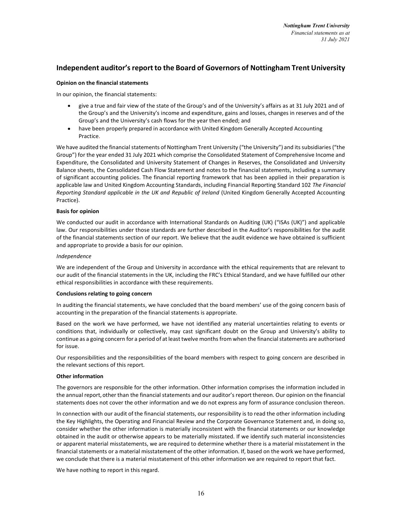# Independent auditor's report to the Board of Governors of Nottingham Trent University

# Opinion on the financial statements

In our opinion, the financial statements:

- give a true and fair view of the state of the Group's and of the University's affairs as at 31 July 2021 and of the Group's and the University's income and expenditure, gains and losses, changes in reserves and of the Group's and the University's cash flows for the year then ended; and
- have been properly prepared in accordance with United Kingdom Generally Accepted Accounting Practice.

We have audited the financial statements of Nottingham Trent University ("the University") and its subsidiaries ("the Group") for the year ended 31 July 2021 which comprise the Consolidated Statement of Comprehensive Income and Expenditure, the Consolidated and University Statement of Changes in Reserves, the Consolidated and University Balance sheets, the Consolidated Cash Flow Statement and notes to the financial statements, including a summary of significant accounting policies. The financial reporting framework that has been applied in their preparation is applicable law and United Kingdom Accounting Standards, including Financial Reporting Standard 102 The Financial Reporting Standard applicable in the UK and Republic of Ireland (United Kingdom Generally Accepted Accounting Practice).

# Basis for opinion

We conducted our audit in accordance with International Standards on Auditing (UK) ("ISAs (UK)") and applicable law. Our responsibilities under those standards are further described in the Auditor's responsibilities for the audit of the financial statements section of our report. We believe that the audit evidence we have obtained is sufficient and appropriate to provide a basis for our opinion.

### Independence

We are independent of the Group and University in accordance with the ethical requirements that are relevant to our audit of the financial statements in the UK, including the FRC's Ethical Standard, and we have fulfilled our other ethical responsibilities in accordance with these requirements.

# Conclusions relating to going concern

In auditing the financial statements, we have concluded that the board members' use of the going concern basis of accounting in the preparation of the financial statements is appropriate.

Based on the work we have performed, we have not identified any material uncertainties relating to events or conditions that, individually or collectively, may cast significant doubt on the Group and University's ability to continue as a going concern for a period of at least twelve months from when the financial statements are authorised for issue.

Our responsibilities and the responsibilities of the board members with respect to going concern are described in the relevant sections of this report.

# Other information

The governors are responsible for the other information. Other information comprises the information included in the annual report,other than the financial statements and our auditor's report thereon. Our opinion on the financial statements does not cover the other information and we do not express any form of assurance conclusion thereon.

In connection with our audit of the financial statements, our responsibility is to read the other information including the Key Highlights, the Operating and Financial Review and the Corporate Governance Statement and, in doing so, consider whether the other information is materially inconsistent with the financial statements or our knowledge obtained in the audit or otherwise appears to be materially misstated. If we identify such material inconsistencies or apparent material misstatements, we are required to determine whether there is a material misstatement in the financial statements or a material misstatement of the other information. If, based on the work we have performed, we conclude that there is a material misstatement of this other information we are required to report that fact.

We have nothing to report in this regard.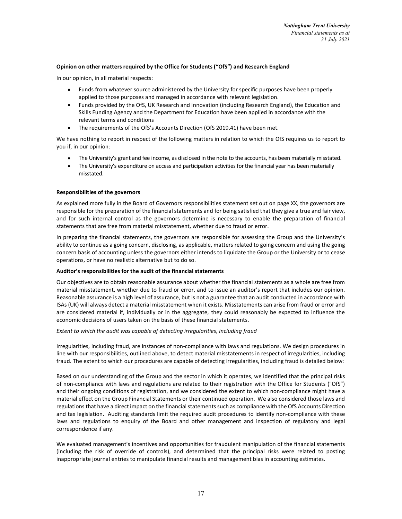# Opinion on other matters required by the Office for Students ("OfS") and Research England

In our opinion, in all material respects:

- Funds from whatever source administered by the University for specific purposes have been properly applied to those purposes and managed in accordance with relevant legislation.
- Funds provided by the OfS, UK Research and Innovation (including Research England), the Education and Skills Funding Agency and the Department for Education have been applied in accordance with the relevant terms and conditions
- The requirements of the OfS's Accounts Direction (OfS 2019.41) have been met.

We have nothing to report in respect of the following matters in relation to which the OfS requires us to report to you if, in our opinion:

- The University's grant and fee income, as disclosed in the note to the accounts, has been materially misstated.
- The University's expenditure on access and participation activities for the financial year has been materially misstated.

### Responsibilities of the governors

As explained more fully in the Board of Governors responsibilities statement set out on page XX, the governors are responsible for the preparation of the financial statements and for being satisfied that they give a true and fair view, and for such internal control as the governors determine is necessary to enable the preparation of financial statements that are free from material misstatement, whether due to fraud or error.

In preparing the financial statements, the governors are responsible for assessing the Group and the University's ability to continue as a going concern, disclosing, as applicable, matters related to going concern and using the going concern basis of accounting unless the governors either intends to liquidate the Group or the University or to cease operations, or have no realistic alternative but to do so.

#### Auditor's responsibilities for the audit of the financial statements

Our objectives are to obtain reasonable assurance about whether the financial statements as a whole are free from material misstatement, whether due to fraud or error, and to issue an auditor's report that includes our opinion. Reasonable assurance is a high level of assurance, but is not a guarantee that an audit conducted in accordance with ISAs (UK) will always detect a material misstatement when it exists. Misstatements can arise from fraud or error and are considered material if, individually or in the aggregate, they could reasonably be expected to influence the economic decisions of users taken on the basis of these financial statements.

#### Extent to which the audit was capable of detecting irregularities, including fraud

Irregularities, including fraud, are instances of non-compliance with laws and regulations. We design procedures in line with our responsibilities, outlined above, to detect material misstatements in respect of irregularities, including fraud. The extent to which our procedures are capable of detecting irregularities, including fraud is detailed below:

Based on our understanding of the Group and the sector in which it operates, we identified that the principal risks of non-compliance with laws and regulations are related to their registration with the Office for Students ("OfS") and their ongoing conditions of registration, and we considered the extent to which non-compliance might have a material effect on the Group Financial Statements or their continued operation. We also considered those laws and regulations that have a direct impact on the financial statements such as compliance with the OfS Accounts Direction and tax legislation. Auditing standards limit the required audit procedures to identify non-compliance with these laws and regulations to enquiry of the Board and other management and inspection of regulatory and legal correspondence if any.

We evaluated management's incentives and opportunities for fraudulent manipulation of the financial statements (including the risk of override of controls), and determined that the principal risks were related to posting inappropriate journal entries to manipulate financial results and management bias in accounting estimates.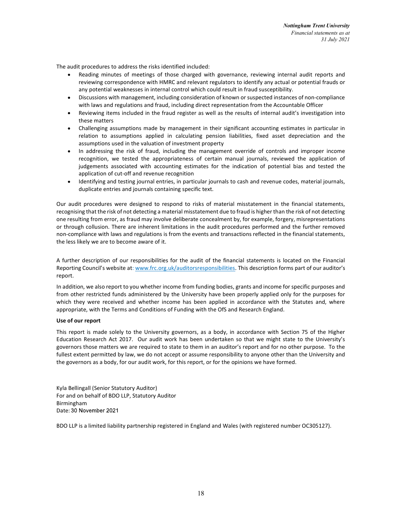The audit procedures to address the risks identified included:

- Reading minutes of meetings of those charged with governance, reviewing internal audit reports and reviewing correspondence with HMRC and relevant regulators to identify any actual or potential frauds or any potential weaknesses in internal control which could result in fraud susceptibility.
- Discussions with management, including consideration of known or suspected instances of non-compliance with laws and regulations and fraud, including direct representation from the Accountable Officer
- Reviewing items included in the fraud register as well as the results of internal audit's investigation into these matters
- Challenging assumptions made by management in their significant accounting estimates in particular in relation to assumptions applied in calculating pension liabilities, fixed asset depreciation and the assumptions used in the valuation of investment property
- In addressing the risk of fraud, including the management override of controls and improper income recognition, we tested the appropriateness of certain manual journals, reviewed the application of judgements associated with accounting estimates for the indication of potential bias and tested the application of cut-off and revenue recognition
- Identifying and testing journal entries, in particular journals to cash and revenue codes, material journals, duplicate entries and journals containing specific text.

Our audit procedures were designed to respond to risks of material misstatement in the financial statements, recognising that the risk of not detecting a material misstatement due to fraud is higher than the risk of not detecting one resulting from error, as fraud may involve deliberate concealment by, for example, forgery, misrepresentations or through collusion. There are inherent limitations in the audit procedures performed and the further removed non-compliance with laws and regulations is from the events and transactions reflected in the financial statements, the less likely we are to become aware of it.

A further description of our responsibilities for the audit of the financial statements is located on the Financial Reporting Council's website at: www.frc.org.uk/auditorsresponsibilities. This description forms part of our auditor's report.

In addition, we also report to you whether income from funding bodies, grants and income for specific purposes and from other restricted funds administered by the University have been properly applied only for the purposes for which they were received and whether income has been applied in accordance with the Statutes and, where appropriate, with the Terms and Conditions of Funding with the OfS and Research England.

# Use of our report

This report is made solely to the University governors, as a body, in accordance with Section 75 of the Higher Education Research Act 2017. Our audit work has been undertaken so that we might state to the University's governors those matters we are required to state to them in an auditor's report and for no other purpose. To the fullest extent permitted by law, we do not accept or assume responsibility to anyone other than the University and the governors as a body, for our audit work, for this report, or for the opinions we have formed.

Kyla Bellingall (Senior Statutory Auditor) For and on behalf of BDO LLP, Statutory Auditor Birmingham Date: 30 November 2021

BDO LLP is a limited liability partnership registered in England and Wales (with registered number OC305127).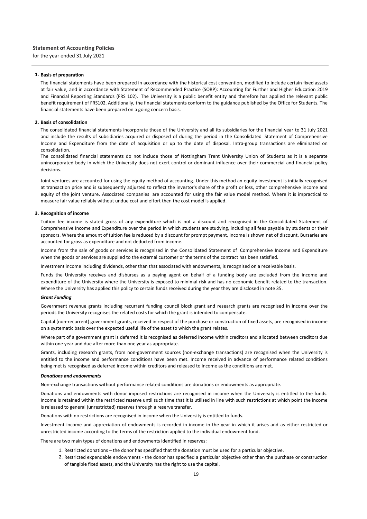#### **1. Basis of preparation**

The financial statements have been prepared in accordance with the historical cost convention, modified to include certain fixed assets at fair value, and in accordance with Statement of Recommended Practice (SORP): Accounting for Further and Higher Education 2019 and Financial Reporting Standards (FRS 102). The University is a public benefit entity and therefore has applied the relevant public benefit requirement of FRS102. Additionally, the financial statements conform to the guidance published by the Office for Students. The financial statements have been prepared on a going concern basis.

#### **2. Basis of consolidation**

The consolidated financial statements incorporate those of the University and all its subsidiaries for the financial year to 31 July 2021 and include the results of subsidiaries acquired or disposed of during the period in the Consolidated Statement of Comprehensive Income and Expenditure from the date of acquisition or up to the date of disposal. Intra‐group transactions are eliminated on consolidation.

The consolidated financial statements do not include those of Nottingham Trent University Union of Students as it is a separate unincorporated body in which the University does not exert control or dominant influence over their commercial and financial policy decisions.

Joint ventures are accounted for using the equity method of accounting. Under this method an equity investment is initially recognised at transaction price and is subsequently adjusted to reflect the investor's share of the profit or loss, other comprehensive income and equity of the joint venture. Associated companies are accounted for using the fair value model method. Where it is impractical to measure fair value reliably without undue cost and effort then the cost model is applied.

#### **3. Recognition of income**

Tuition fee income is stated gross of any expenditure which is not a discount and recognised in the Consolidated Statement of Comprehensive Income and Expenditure over the period in which students are studying, including all fees payable by students or their sponsors. Where the amount of tuition fee is reduced by a discount for prompt payment, income is shown net of discount. Bursaries are accounted for gross as expenditure and not deducted from income.

Income from the sale of goods or services is recognised in the Consolidated Statement of Comprehensive Income and Expenditure when the goods or services are supplied to the external customer or the terms of the contract has been satisfied.

Investment income including dividends, other than that associated with endowments, is recognised on a receivable basis.

Funds the University receives and disburses as a paying agent on behalf of a funding body are excluded from the income and expenditure of the University where the University is exposed to minimal risk and has no economic benefit related to the transaction. Where the University has applied this policy to certain funds received during the year they are disclosed in note 35.

#### *Grant Funding*

Government revenue grants including recurrent funding council block grant and research grants are recognised in income over the periods the University recognises the related costs for which the grant is intended to compensate.

Capital (non‐recurrent) government grants, received in respect of the purchase or construction of fixed assets, are recognised in income on a systematic basis over the expected useful life of the asset to which the grant relates.

Where part of a government grant is deferred it is recognised as deferred income within creditors and allocated between creditors due within one year and due after more than one year as appropriate.

Grants, including research grants, from non‐government sources (non‐exchange transactions) are recognised when the University is entitled to the income and performance conditions have been met. Income received in advance of performance related conditions being met is recognised as deferred income within creditors and released to income as the conditions are met.

#### *Donations and endowments*

Non‐exchange transactions without performance related conditions are donations or endowments as appropriate.

Donations and endowments with donor imposed restrictions are recognised in income when the University is entitled to the funds. Income is retained within the restricted reserve until such time that it is utilised in line with such restrictions at which point the income is released to general (unrestricted) reserves through a reserve transfer.

Donations with no restrictions are recognised in income when the University is entitled to funds.

Investment income and appreciation of endowments is recorded in income in the year in which it arises and as either restricted or unrestricted income according to the terms of the restriction applied to the individual endowment fund.

There are two main types of donations and endowments identified in reserves:

- 1. Restricted donations the donor has specified that the donation must be used for a particular objective.
- 2. Restricted expendable endowments ‐ the donor has specified a particular objective other than the purchase or construction of tangible fixed assets, and the University has the right to use the capital.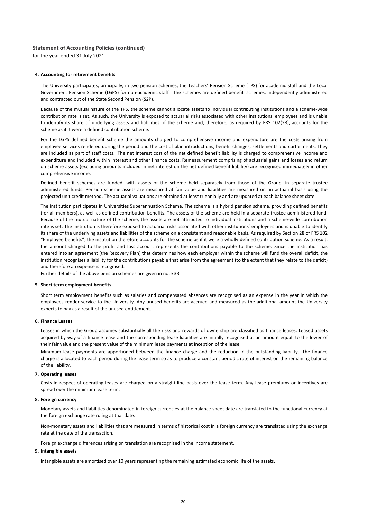#### **4. Accounting for retirement benefits**

The University participates, principally, in two pension schemes, the Teachers' Pension Scheme (TPS) for academic staff and the Local Government Pension Scheme (LGPS) for non-academic staff . The schemes are defined benefit schemes, independently administered and contracted out of the State Second Pension (S2P).

Because of the mutual nature of the TPS, the scheme cannot allocate assets to individual contributing institutions and a scheme‐wide contribution rate is set. As such, the University is exposed to actuarial risks associated with other institutions' employees and is unable to identify its share of underlying assets and liabilities of the scheme and, therefore, as required by FRS 102(28), accounts for the scheme as if it were a defined contribution scheme.

For the LGPS defined benefit scheme the amounts charged to comprehensive income and expenditure are the costs arising from employee services rendered during the period and the cost of plan introductions, benefit changes, settlements and curtailments. They are included as part of staff costs. The net interest cost of the net defined benefit liability is charged to comprehensive income and expenditure and included within interest and other finance costs. Remeasurement comprising of actuarial gains and losses and return on scheme assets (excluding amounts included in net interest on the net defined benefit liability) are recognised immediately in other comprehensive income.

Defined benefit schemes are funded, with assets of the scheme held separately from those of the Group, in separate trustee administered funds. Pension scheme assets are measured at fair value and liabilities are measured on an actuarial basis using the projected unit credit method. The actuarial valuations are obtained at least triennially and are updated at each balance sheet date.

The institution participates in Universities Superannuation Scheme. The scheme is a hybrid pension scheme, providing defined benefits (for all members), as well as defined contribution benefits. The assets of the scheme are held in a separate trustee‐administered fund. Because of the mutual nature of the scheme, the assets are not attributed to individual institutions and a scheme‐wide contribution rate is set. The institution is therefore exposed to actuarial risks associated with other institutions' employees and is unable to identify its share of the underlying assets and liabilities of the scheme on a consistent and reasonable basis. As required by Section 28 of FRS 102 "Employee benefits", the institution therefore accounts for the scheme as if it were a wholly defined contribution scheme. As a result, the amount charged to the profit and loss account represents the contributions payable to the scheme. Since the institution has entered into an agreement (the Recovery Plan) that determines how each employer within the scheme will fund the overall deficit, the institution recognises a liability for the contributions payable that arise from the agreement (to the extent that they relate to the deficit) and therefore an expense is recognised.

Further details of the above pension schemes are given in note 33.

#### **5. Short term employment benefits**

Short term employment benefits such as salaries and compensated absences are recognised as an expense in the year in which the employees render service to the University. Any unused benefits are accrued and measured as the additional amount the University expects to pay as a result of the unused entitlement.

#### **6. Finance Leases**

Leases in which the Group assumes substantially all the risks and rewards of ownership are classified as finance leases. Leased assets acquired by way of a finance lease and the corresponding lease liabilities are initially recognised at an amount equal to the lower of their fair value and the present value of the minimum lease payments at inception of the lease.

Minimum lease payments are apportioned between the finance charge and the reduction in the outstanding liability. The finance charge is allocated to each period during the lease term so as to produce a constant periodic rate of interest on the remaining balance of the liability.

#### **7. Operating leases**

Costs in respect of operating leases are charged on a straight‐line basis over the lease term. Any lease premiums or incentives are spread over the minimum lease term.

#### **8. Foreign currency**

Monetary assets and liabilities denominated in foreign currencies at the balance sheet date are translated to the functional currency at the foreign exchange rate ruling at that date.

Non‐monetary assets and liabilities that are measured in terms of historical cost in a foreign currency are translated using the exchange rate at the date of the transaction.

Foreign exchange differences arising on translation are recognised in the income statement.

#### **9. Intangible assets**

Intangible assets are amortised over 10 years representing the remaining estimated economic life of the assets.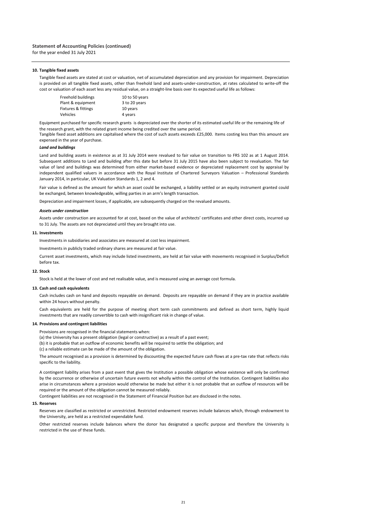#### **10. Tangible fixed assets**

Tangible fixed assets are stated at cost or valuation, net of accumulated depreciation and any provision for impairment. Depreciation is provided on all tangible fixed assets, other than freehold land and assets‐under‐construction, at rates calculated to write‐off the cost or valuation of each asset less any residual value, on a straight‐line basis over its expected useful life as follows:

| Freehold buildings  | 10 to 50 years |
|---------------------|----------------|
| Plant & equipment   | 3 to 20 years  |
| Fixtures & fittings | 10 years       |
| Vehicles            | 4 years        |

Equipment purchased for specific research grants is depreciated over the shorter of its estimated useful life or the remaining life of the research grant, with the related grant income being credited over the same period.

Tangible fixed asset additions are capitalised where the cost of such assets exceeds £25,000. Items costing less than this amount are expensed in the year of purchase.

#### *Land and buildings*

Land and building assets in existence as at 31 July 2014 were revalued to fair value on transition to FRS 102 as at 1 August 2014. Subsequent additions to Land and building after this date but before 31 July 2015 have also been subject to revaluation. The fair value of land and buildings was determined from either market‐based evidence or depreciated replacement cost by appraisal by independent qualified valuers in accordance with the Royal Institute of Chartered Surveyors Valuation – Professional Standards January 2014, in particular, UK Valuation Standards 1, 2 and 4.

Fair value is defined as the amount for which an asset could be exchanged, a liability settled or an equity instrument granted could be exchanged, between knowledgeable, willing parties in an arm's length transaction.

Depreciation and impairment losses, if applicable, are subsequently charged on the revalued amounts.

#### *Assets under construction*

Assets under construction are accounted for at cost, based on the value of architects' certificates and other direct costs, incurred up to 31 July. The assets are not depreciated until they are brought into use.

#### **11. Investments**

Investments in subsidiaries and associates are measured at cost less impairment.

Investments in publicly traded ordinary shares are measured at fair value.

Current asset investments, which may include listed investments, are held at fair value with movements recognised in Surplus/Deficit before tax.

#### **12. Stock**

Stock is held at the lower of cost and net realisable value, and is measured using an average cost formula.

#### **13. Cash and cash equivalents**

Cash includes cash on hand and deposits repayable on demand. Deposits are repayable on demand if they are in practice available within 24 hours without penalty.

Cash equivalents are held for the purpose of meeting short term cash commitments and defined as short term, highly liquid investments that are readily convertible to cash with insignificant risk in change of value.

#### **14. Provisions and contingent liabilities**

Provisions are recognised in the financial statements when:

(a) the University has a present obligation (legal or constructive) as a result of a past event;

(b) it is probable that an outflow of economic benefits will be required to settle the obligation; and

(c) a reliable estimate can be made of the amount of the obligation.

The amount recognised as a provision is determined by discounting the expected future cash flows at a pre-tax rate that reflects risks specific to the liability.

A contingent liability arises from a past event that gives the Institution a possible obligation whose existence will only be confirmed by the occurrence or otherwise of uncertain future events not wholly within the control of the Institution. Contingent liabilities also arise in circumstances where a provision would otherwise be made but either it is not probable that an outflow of resources will be required or the amount of the obligation cannot be measured reliably.

Contingent liabilities are not recognised in the Statement of Financial Position but are disclosed in the notes.

#### **15. Reserves**

Reserves are classified as restricted or unrestricted. Restricted endowment reserves include balances which, through endowment to the University, are held as a restricted expendable fund.

Other restricted reserves include balances where the donor has designated a specific purpose and therefore the University is restricted in the use of these funds.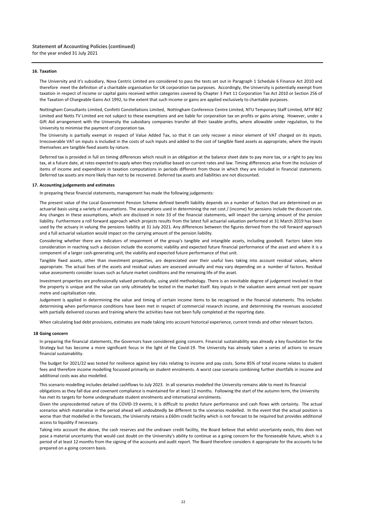#### **16. Taxation**

The University and it's subsidiary, Nova Centric Limited are considered to pass the tests set out in Paragraph 1 Schedule 6 Finance Act 2010 and therefore meet the definition of a charitable organisation for UK corporation tax purposes. Accordingly, the University is potentially exempt from taxation in respect of income or capital gains received within categories covered by Chapter 3 Part 11 Corporation Tax Act 2010 or Section 256 of the Taxation of Chargeable Gains Act 1992, to the extent that such income or gains are applied exclusively to charitable purposes.

Nottingham Consultants Limited, Confetti Constellations Limited, Nottingham Conference Centre Limited, NTU Temporary Staff Limited, MTIF BEZ Limited and Notts TV Limited are not subject to these exemptions and are liable for corporation tax on profits or gains arising. However, under a Gift Aid arrangement with the University the subsidiary companies transfer all their taxable profits, where allowable under regulation, to the University to minimise the payment of corporation tax.

The University is partially exempt in respect of Value Added Tax, so that it can only recover a minor element of VAT charged on its inputs. Irrecoverable VAT on inputs is included in the costs of such inputs and added to the cost of tangible fixed assets as appropriate, where the inputs themselves are tangible fixed assets by nature.

Deferred tax is provided in full on timing differences which result in an obligation at the balance sheet date to pay more tax, or a right to pay less tax, at a future date, at rates expected to apply when they crystallise based on current rates and law. Timing differences arise from the inclusion of items of income and expenditure in taxation computations in periods different from those in which they are included in financial statements. Deferred tax assets are more likely than not to be recovered. Deferred tax assets and liabilities are not discounted.

#### **17. Accounting judgements and estimates**

In preparing these financial statements, management has made the following judgements:

The present value of the Local Government Pension Scheme defined benefit liability depends on a number of factors that are determined on an actuarial basis using a variety of assumptions. The assumptions used in determining the net cost / (income) for pensions include the discount rate. Any changes in these assumptions, which are disclosed in note 33 of the financial statements, will impact the carrying amount of the pension liability. Furthermore a roll forward approach which projects results from the latest full actuarial valuation performed at 31 March 2019 has been used by the actuary in valuing the pensions liability at 31 July 2021. Any differences between the figures derived from the roll forward approach and a full actuarial valuation would impact on the carrying amount of the pension liability.

Considering whether there are indicators of impairment of the group's tangible and intangible assets, including goodwill. Factors taken into consideration in reaching such a decision include the economic viability and expected future financial performance of the asset and where it is a component of a larger cash-generating unit, the viability and expected future performance of that unit.

Tangible fixed assets, other than investment properties, are depreciated over their useful lives taking into account residual values, where appropriate. The actual lives of the assets and residual values are assessed annually and may vary depending on a number of factors. Residual value assessments consider issues such as future market conditions and the remaining life of the asset.

Investment properties are professionally valued periodically, using yield methodology. There is an inevitable degree of judgement involved in that the property is unique and the value can only ultimately be tested in the market itself. Key inputs in the valuation were annual rent per square metre and capitalisation rate.

Judgement is applied in determining the value and timing of certain income items to be recognised in the financial statements. This includes determining when performance conditions have been met in respect of commercial research income, and determining the revenues associated with partially delivered courses and training where the activities have not been fully completed at the reporting date.

When calculating bad debt provisions, estimates are made taking into account historical experience, current trends and other relevant factors.

#### **18 Going concern**

In preparing the financial statements, the Governors have considered going concern. Financial sustainability was already a key foundation for the Strategy but has become a more significant focus in the light of the Covid‐19. The University has already taken a series of actions to ensure financial sustainability.

The budget for 2021/22 was tested for resilience against key risks relating to income and pay costs. Some 85% of total income relates to student fees and therefore income modelling focussed primarily on student enrolments. A worst case scenario combining further shortfalls in income and additional costs was also modelled.

This scenario modelling includes detailed cashflows to July 2023. In all scenarios modelled the University remains able to meet its financial obligations as they fall due and covenant compliance is maintained for at least 12 months. Following the start of the autumn term, the University has met its targets for home undergraduate student enrolments and international enrolments.

Given the unprecedented nature of the COVID‐19 events, it is difficult to predict future performance and cash flows with certainty. The actual scenarios which materialise in the period ahead will undoubtedly be different to the scenarios modelled. In the event that the actual position is worse than that modelled in the forecasts, the University retains a £60m credit facility which is not forecast to be required but provides additional access to liquidity if necessary.

Taking into account the above, the cash reserves and the undrawn credit facility, the Board believe that whilst uncertainty exists, this does not pose a material uncertainty that would cast doubt on the University's ability to continue as a going concern for the foreseeable future, which is a period of at least 12 months from the signing of the accounts and audit report. The Board therefore considers it appropriate for the accounts to be prepared on a going concern basis.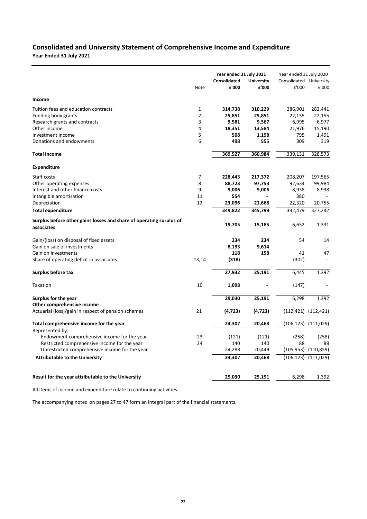# **Year Ended 31 July 2021 Consolidated and University Statement of Comprehensive Income and Expenditure**

|                                                                                   |              |              | Year ended 31 July 2021 |                         | Year ended 31 July 2020   |
|-----------------------------------------------------------------------------------|--------------|--------------|-------------------------|-------------------------|---------------------------|
|                                                                                   |              | Consolidated | <b>University</b>       | Consolidated University |                           |
|                                                                                   | Note         | £'000        | £'000                   | £'000                   | £'000                     |
| Income                                                                            |              |              |                         |                         |                           |
| Tuition fees and education contracts                                              | $\mathbf{1}$ | 314,738      | 310,229                 | 286,901                 | 282,441                   |
| Funding body grants                                                               | 2            | 25,851       | 25,851                  | 22,155                  | 22,155                    |
| Research grants and contracts                                                     | 3            | 9,581        | 9,567                   | 6,995                   | 6,977                     |
| Other income                                                                      | 4            | 18,351       | 13,584                  | 21,976                  | 15,190                    |
| Investment income                                                                 | 5            | 508          | 1,198                   | 795                     | 1,491                     |
| Donations and endowments                                                          | 6            | 498          | 555                     | 309                     | 319                       |
| <b>Total income</b>                                                               |              | 369,527      | 360,984                 | 339,131                 | 328,573                   |
| Expenditure                                                                       |              |              |                         |                         |                           |
| Staff costs                                                                       | 7            | 228,443      | 217,372                 | 208,207                 | 197,565                   |
| Other operating expenses                                                          | 8            | 88,723       | 97,753                  | 92,634                  | 99,984                    |
| Interest and other finance costs                                                  | 9            | 9,006        | 9,006                   | 8,938                   | 8,938                     |
| Intangible amortisation                                                           | 11           | 554          |                         | 380                     |                           |
| Depreciation                                                                      | 12           | 23,096       | 21,668                  | 22,320                  | 20,755                    |
| <b>Total expenditure</b>                                                          |              | 349,822      | 345,799                 | 332,479                 | 327,242                   |
| Surplus before other gains losses and share of operating surplus of<br>associates |              | 19,705       | 15,185                  | 6,652                   | 1,331                     |
|                                                                                   |              |              |                         |                         |                           |
| Gain/(loss) on disposal of fixed assets                                           |              | 234          | 234                     | 54                      | 14                        |
| Gain on sale of investments                                                       |              | 8,193        | 9,614                   |                         |                           |
| Gain on investments                                                               |              | 118          | 158                     | 41                      | 47                        |
| Share of operating deficit in associates                                          | 13,14        | (318)        |                         | (302)                   |                           |
| Surplus before tax                                                                |              | 27,932       | 25,191                  | 6,445                   | 1,392                     |
| Taxation                                                                          | 10           | 1,098        |                         | (147)                   |                           |
| Surplus for the year                                                              |              | 29,030       | 25,191                  | 6,298                   | 1,392                     |
| Other comprehensive income                                                        |              |              |                         |                         |                           |
| Actuarial (loss)/gain in respect of pension schemes                               | 21           | (4, 723)     | (4, 723)                |                         | $(112, 421)$ $(112, 421)$ |
| Total comprehensive income for the year                                           |              | 24,307       | 20,468                  | (106, 123)              | (111, 029)                |
| Represented by:                                                                   |              |              |                         |                         |                           |
| Endowment comprehensive income for the year                                       | 23           | (121)        | (121)                   | (258)                   | (258)                     |
| Restricted comprehensive income for the year                                      | 24           | 140          | 140                     | 88                      | 88                        |
| Unrestricted comprehensive income for the year                                    |              | 24,288       | 20,449                  |                         | $(105,953)$ $(110,859)$   |
| <b>Attributable to the University</b>                                             |              | 24,307       | 20,468                  |                         | $(106, 123)$ $(111, 029)$ |
| Result for the year attributable to the University                                |              | 29,030       | 25,191                  | 6,298                   | 1,392                     |
|                                                                                   |              |              |                         |                         |                           |

All items of income and expenditure relate to continuing activities.

The accompanying notes on pages 27 to 47 form an integral part of the financial statements.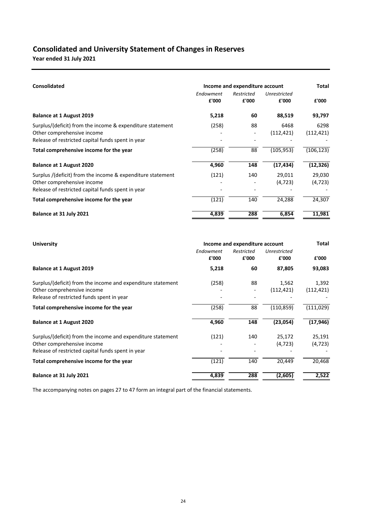# **Consolidated and University Statement of Changes in Reserves**

**Year ended 31 July 2021**

| <b>Consolidated</b>                                                                                                                           | Income and expenditure account | <b>Total</b>        |                       |                    |
|-----------------------------------------------------------------------------------------------------------------------------------------------|--------------------------------|---------------------|-----------------------|--------------------|
|                                                                                                                                               | Endowment<br>£'000             | Restricted<br>£'000 | Unrestricted<br>£'000 | £'000              |
| <b>Balance at 1 August 2019</b>                                                                                                               | 5,218                          | 60                  | 88,519                | 93,797             |
| Surplus/(deficit) from the income & expenditure statement<br>Other comprehensive income<br>Release of restricted capital funds spent in year  | (258)                          | 88                  | 6468<br>(112, 421)    | 6298<br>(112, 421) |
| Total comprehensive income for the year                                                                                                       | (258)                          | 88                  | (105, 953)            | (106, 123)         |
| <b>Balance at 1 August 2020</b>                                                                                                               | 4,960                          | 148                 | (17, 434)             | (12, 326)          |
| Surplus /(deficit) from the income & expenditure statement<br>Other comprehensive income<br>Release of restricted capital funds spent in year | (121)                          | 140                 | 29,011<br>(4, 723)    | 29,030<br>(4, 723) |
| Total comprehensive income for the year                                                                                                       | (121)                          | 140                 | 24,288                | 24,307             |
| Balance at 31 July 2021                                                                                                                       | 4,839                          | 288                 | 6,854                 | 11,981             |

| <b>University</b>                                           | Income and expenditure account | <b>Total</b>        |                       |            |
|-------------------------------------------------------------|--------------------------------|---------------------|-----------------------|------------|
|                                                             | Endowment<br>£'000             | Restricted<br>£'000 | Unrestricted<br>£'000 | £'000      |
| <b>Balance at 1 August 2019</b>                             | 5,218                          | 60                  | 87,805                | 93,083     |
| Surplus/(deficit) from the income and expenditure statement | (258)                          | 88                  | 1,562                 | 1,392      |
| Other comprehensive income                                  |                                |                     | (112, 421)            | (112, 421) |
| Release of restricted funds spent in year                   |                                |                     |                       |            |
| Total comprehensive income for the year                     | (258)                          | 88                  | (110, 859)            | (111, 029) |
| <b>Balance at 1 August 2020</b>                             | 4,960                          | 148                 | (23,054)              | (17, 946)  |
| Surplus/(deficit) from the income and expenditure statement | (121)                          | 140                 | 25,172                | 25,191     |
| Other comprehensive income                                  |                                |                     | (4, 723)              | (4, 723)   |
| Release of restricted capital funds spent in year           |                                |                     |                       |            |
| Total comprehensive income for the year                     | (121)                          | 140                 | 20,449                | 20,468     |
| Balance at 31 July 2021                                     | 4,839                          | 288                 | (2,605)               | 2,522      |

The accompanying notes on pages 27 to 47 form an integral part of the financial statements.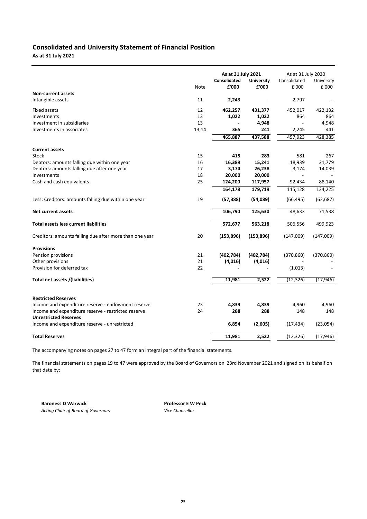# **Consolidated and University Statement of Financial Position**

**As at 31 July 2021**

|                                                         | As at 31 July 2021 |                     | As at 31 July 2020 |              |            |
|---------------------------------------------------------|--------------------|---------------------|--------------------|--------------|------------|
|                                                         |                    | <b>Consolidated</b> | <b>University</b>  | Consolidated | University |
| <b>Non-current assets</b>                               | Note               | £'000               | £'000              | £'000        | £'000      |
| Intangible assets                                       | 11                 | 2,243               |                    | 2,797        |            |
| Fixed assets                                            | 12                 | 462,257             | 431,377            | 452,017      | 422,132    |
| Investments                                             | 13                 | 1,022               | 1,022              | 864          | 864        |
| Investment in subsidiaries                              | 13                 |                     | 4,948              |              | 4,948      |
| Investments in associates                               | 13,14              | 365                 | 241                | 2,245        | 441        |
|                                                         |                    | 465,887             | 437,588            | 457,923      | 428,385    |
| <b>Current assets</b>                                   |                    |                     |                    |              |            |
| Stock                                                   | 15                 | 415                 | 283                | 581          | 267        |
| Debtors: amounts falling due within one year            | 16                 | 16,389              | 15,241             | 18,939       | 31,779     |
| Debtors: amounts falling due after one year             | 17                 | 3,174               | 26,238             | 3,174        | 14,039     |
| Investments                                             | 18                 | 20,000              | 20,000             |              |            |
| Cash and cash equivalents                               | 25                 | 124,200             | 117,957            | 92,434       | 88,140     |
|                                                         |                    | 164,178             | 179,719            | 115,128      | 134,225    |
| Less: Creditors: amounts falling due within one year    | 19                 | (57, 388)           | (54,089)           | (66, 495)    | (62, 687)  |
| <b>Net current assets</b>                               |                    | 106,790             | 125,630            | 48,633       | 71,538     |
| <b>Total assets less current liabilities</b>            |                    | 572,677             | 563,218            | 506,556      | 499,923    |
| Creditors: amounts falling due after more than one year | 20                 | (153, 896)          | (153, 896)         | (147,009)    | (147,009)  |
| <b>Provisions</b>                                       |                    |                     |                    |              |            |
| Pension provisions                                      | 21                 | (402, 784)          | (402, 784)         | (370, 860)   | (370, 860) |
| Other provisions                                        | 21                 | (4,016)             | (4,016)            |              |            |
| Provision for deferred tax                              | 22                 |                     |                    | (1,013)      |            |
| Total net assets /(liabilities)                         |                    | 11,981              | 2,522              | (12, 326)    | (17, 946)  |
|                                                         |                    |                     |                    |              |            |
| <b>Restricted Reserves</b>                              |                    |                     |                    |              |            |
| Income and expenditure reserve - endowment reserve      | 23                 | 4,839               | 4,839              | 4,960        | 4,960      |
| Income and expenditure reserve - restricted reserve     | 24                 | 288                 | 288                | 148          | 148        |
| <b>Unrestricted Reserves</b>                            |                    |                     |                    |              |            |
| Income and expenditure reserve - unrestricted           |                    | 6,854               | (2,605)            | (17, 434)    | (23,054)   |
| <b>Total Reserves</b>                                   |                    | 11,981              | 2,522              | (12, 326)    | (17, 946)  |

The accompanying notes on pages 27 to 47 form an integral part of the financial statements.

The financial statements on pages 19 to 47 were approved by the Board of Governors on 23rd November 2021 and signed on its behalf on that date by:

**Baroness D Warwick Community Professor E W Peck** Acting Chair of Board of Governors **Vice Chancellor**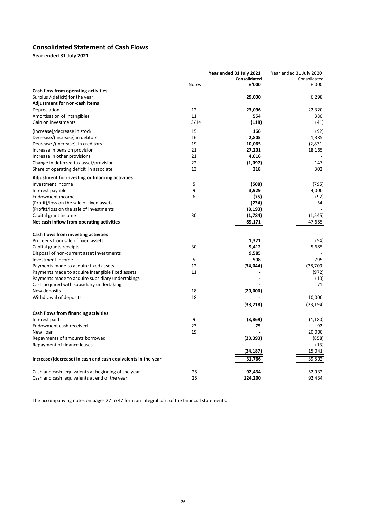# **Consolidated Statement of Cash Flows Year ended 31 July 2021**

|                                                                         | <b>Notes</b> | Year ended 31 July 2021<br>Consolidated<br>£'000 | Year ended 31 July 2020<br>Consolidated<br>£'000 |
|-------------------------------------------------------------------------|--------------|--------------------------------------------------|--------------------------------------------------|
| Cash flow from operating activities                                     |              |                                                  |                                                  |
| Surplus /(deficit) for the year<br><b>Adjustment for non-cash items</b> |              | 29,030                                           | 6,298                                            |
| Depreciation                                                            | 12           | 23,096                                           | 22,320                                           |
| Amortisation of intangibles                                             | 11           | 554                                              | 380                                              |
| Gain on investments                                                     | 13/14        | (118)                                            | (41)                                             |
| (Increase)/decrease in stock                                            | 15           | 166                                              | (92)                                             |
| Decrease/(Increase) in debtors                                          | 16           | 2,805                                            | 1,385                                            |
| Decrease /(increase) in creditors                                       | 19           | 10,065                                           | (2,831)                                          |
| Increase in pension provision                                           | 21           | 27,201                                           | 18,165                                           |
| Increase in other provisions                                            | 21           | 4,016                                            |                                                  |
| Change in deferred tax asset/provision                                  | 22           | (1,097)                                          | 147                                              |
| Share of operating deficit in associate                                 | 13           | 318                                              | 302                                              |
| Adjustment for investing or financing activities                        |              |                                                  |                                                  |
| Investment income                                                       | 5            | (508)                                            | (795)                                            |
| Interest payable                                                        | 9            | 3,929                                            | 4,000                                            |
| Endowment income                                                        | 6            | (75)                                             | (92)                                             |
| (Profit)/loss on the sale of fixed assets                               |              | (234)                                            | 54                                               |
| (Profit)/loss on the sale of investments                                |              | (8, 193)                                         |                                                  |
| Capital grant income                                                    | 30           | (1,784)                                          | (1, 545)                                         |
| Net cash inflow from operating activities                               |              | 89,171                                           | 47.655                                           |
| Cash flows from investing activities                                    |              |                                                  |                                                  |
| Proceeds from sale of fixed assets                                      |              | 1,321                                            | (54)                                             |
| Capital grants receipts                                                 | 30           | 9,412                                            | 5,685                                            |
| Disposal of non-current asset investments                               |              | 9,585                                            |                                                  |
| Investment income                                                       | 5            | 508                                              | 795                                              |
| Payments made to acquire fixed assets                                   | 12           | (34, 044)                                        | (38, 709)                                        |
| Payments made to acquire intangible fixed assets                        | 11           |                                                  | (972)                                            |
| Payments made to acquire subsidiary undertakings                        |              |                                                  | (10)                                             |
| Cash acquired with subsidiary undertaking                               |              |                                                  | 71                                               |
| New deposits                                                            | 18           | (20,000)                                         |                                                  |
| Withdrawal of deposits                                                  | 18           |                                                  | 10,000                                           |
|                                                                         |              | (33, 218)                                        | (23, 194)                                        |
| Cash flows from financing activities                                    |              |                                                  |                                                  |
| Interest paid                                                           | 9            | (3,869)                                          | (4, 180)                                         |
| Endowment cash received                                                 | 23           | 75                                               | 92                                               |
| New loan                                                                | 19           |                                                  | 20,000                                           |
| Repayments of amounts borrowed                                          |              | (20, 393)                                        | (858)                                            |
| Repayment of finance leases                                             |              |                                                  | (13)                                             |
|                                                                         |              | (24, 187)                                        | 15,041                                           |
| Increase/(decrease) in cash and cash equivalents in the year            |              | 31,766                                           | 39,502                                           |
| Cash and cash equivalents at beginning of the year                      | 25           | 92,434                                           | 52,932                                           |
| Cash and cash equivalents at end of the year                            | 25           | 124,200                                          | 92,434                                           |

The accompanying notes on pages 27 to 47 form an integral part of the financial statements.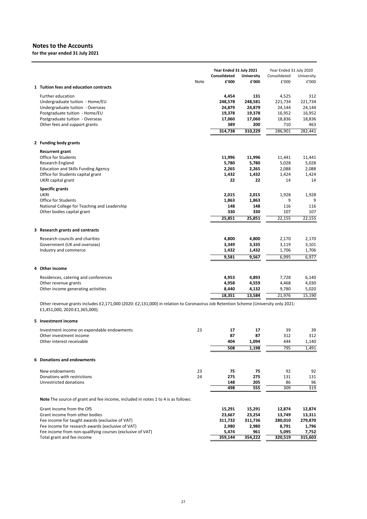**for the year ended 31 July 2021**

|                                                                                                                                                                     |      | Year Ended 31 July 2021<br>Consolidated | <b>University</b> | Year Ended 31 July 2020<br>Consolidated | University     |
|---------------------------------------------------------------------------------------------------------------------------------------------------------------------|------|-----------------------------------------|-------------------|-----------------------------------------|----------------|
| 1 Tuition fees and education contracts                                                                                                                              | Note | £'000                                   | £'000             | £'000                                   | £'000          |
|                                                                                                                                                                     |      |                                         |                   |                                         |                |
| Further education<br>Undergraduate tuition - Home/EU                                                                                                                |      | 4,454<br>248,578                        | 131<br>248,581    | 4,525<br>221,734                        | 312<br>221,734 |
| Undergraduate tuition - Overseas                                                                                                                                    |      | 24,879                                  | 24,879            | 24,144                                  | 24,144         |
| Postgraduate tuition - Home/EU                                                                                                                                      |      | 19,378                                  | 19,378            | 16,952                                  | 16,952         |
| Postgraduate tuition - Overseas                                                                                                                                     |      | 17,060                                  | 17,060            | 18,836                                  | 18,836         |
| Other fees and support grants                                                                                                                                       |      | 389                                     | 200               | 710                                     | 463            |
|                                                                                                                                                                     |      | 314,738                                 | 310,229           | 286,901                                 | 282,441        |
| 2 Funding body grants                                                                                                                                               |      |                                         |                   |                                         |                |
| <b>Recurrent grant</b>                                                                                                                                              |      |                                         |                   |                                         |                |
| Office for Students                                                                                                                                                 |      | 11,996                                  | 11,996            | 11,441                                  | 11,441         |
| Research England                                                                                                                                                    |      | 5,780                                   | 5,780             | 5,028                                   | 5,028          |
| <b>Education and Skills Funding Agency</b>                                                                                                                          |      | 2,265                                   | 2,265             | 2,088                                   | 2,088          |
| Office for Students capital grant                                                                                                                                   |      | 1,432                                   | 1,432             | 1,424                                   | 1,424          |
| UKRI capital grant                                                                                                                                                  |      | 22                                      | 22                | 14                                      | 14             |
| <b>Specific grants</b><br><b>UKRI</b>                                                                                                                               |      | 2,015                                   | 2,015             | 1,928                                   | 1,928          |
| <b>Office for Students</b>                                                                                                                                          |      | 1,863                                   | 1,863             | 9                                       | 9              |
| National College for Teaching and Leadership                                                                                                                        |      | 148                                     | 148               | 116                                     | 116            |
| Other bodies capital grant                                                                                                                                          |      | 330                                     | 330               | 107                                     | 107            |
|                                                                                                                                                                     |      | 25,851                                  | 25,851            | 22,155                                  | 22,155         |
| 3 Research grants and contracts                                                                                                                                     |      |                                         |                   |                                         |                |
| Research councils and charities                                                                                                                                     |      | 4,800                                   | 4,800             | 2,170                                   | 2,170          |
| Government (UK and overseas)                                                                                                                                        |      | 3,349                                   | 3,335             | 3,119                                   | 3,101          |
| Industry and commerce                                                                                                                                               |      | 1,432                                   | 1,432             | 1,706                                   | 1,706          |
|                                                                                                                                                                     |      | 9,581                                   | 9,567             | 6,995                                   | 6,977          |
| 4 Other income                                                                                                                                                      |      |                                         |                   |                                         |                |
| Residences, catering and conferences                                                                                                                                |      | 4,953                                   | 4,893             | 7,728                                   | 6,140          |
| Other revenue grants                                                                                                                                                |      | 4,958                                   | 4,559             | 4,468                                   | 4,030          |
| Other income generating activities                                                                                                                                  |      | 8,440                                   | 4,132             | 9,780                                   | 5,020          |
|                                                                                                                                                                     |      | 18,351                                  | 13,584            | 21,976                                  | 15,190         |
| Other revenue grants includes £2,171,000 (2020: £2,131,000) in relation to Coronavirus Job Retention Scheme (University only 2021:<br>£1,451,000, 2020:£1,365,000). |      |                                         |                   |                                         |                |
| 5 Investment income                                                                                                                                                 |      |                                         |                   |                                         |                |
| Investment income on expendable endowments                                                                                                                          | 23   | 17                                      | 17                | 39                                      | 39             |
| Other investment income                                                                                                                                             |      | 87                                      | 87                | 312                                     | 312            |
| Other interest receivable                                                                                                                                           |      | 404                                     | 1,094             | 444                                     | 1,140          |
|                                                                                                                                                                     |      | 508                                     | 1,198             | 795                                     | 1,491          |
| 6 Donations and endowments                                                                                                                                          |      |                                         |                   |                                         |                |
| New endowments                                                                                                                                                      | 23   | 75                                      | 75                | 92                                      | 92             |
| Donations with restrictions                                                                                                                                         | 24   | 275                                     | 275               | 131                                     | 131            |
| Unrestricted donations                                                                                                                                              |      | 148                                     | 205               | 86                                      | 96             |
|                                                                                                                                                                     |      | 498                                     | 555               | 309                                     | 319            |
| Note The source of grant and fee income, included in notes 1 to 4 is as follows:                                                                                    |      |                                         |                   |                                         |                |
| Grant income from the OfS                                                                                                                                           |      | 15,291                                  | 15,291            | 12,874                                  | 12,874         |
| Grant income from other bodies                                                                                                                                      |      | 23,667                                  | 23,254            | 13,749                                  | 13,311         |
| Fee income for taught awards (exclusive of VAT)                                                                                                                     |      | 311,732                                 | 311,736           | 280,010                                 | 279,870        |
| Fee income for research awards (exclusive of VAT)                                                                                                                   |      | 2,980                                   | 2,980             | 8,791                                   | 1,796          |
| Fee income from non-qualifying courses (exclusive of VAT)                                                                                                           |      | 5,474                                   | 961               | 5,095                                   | 7,752          |
| Total grant and fee income                                                                                                                                          |      | 359,144                                 | 354,222           | 320,519                                 | 315,603        |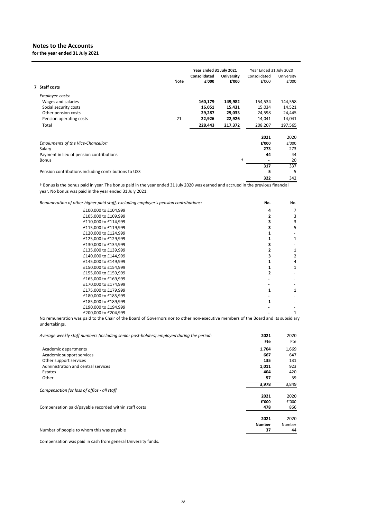**for the year ended 31 July 2021**

|                                                      |      | Year Ended 31 July 2021 |                   | Year Ended 31 July 2020      |            |
|------------------------------------------------------|------|-------------------------|-------------------|------------------------------|------------|
|                                                      |      | <b>Consolidated</b>     | <b>University</b> | Consolidated                 | University |
|                                                      | Note | £'000                   | £'000             | £'000                        | £'000      |
| 7 Staff costs                                        |      |                         |                   |                              |            |
| Employee costs:                                      |      |                         |                   |                              |            |
| Wages and salaries                                   |      | 160,179                 | 149,982           | 154,534                      | 144,558    |
| Social security costs                                |      | 16,051                  | 15,431            | 15,034                       | 14,521     |
| Other pension costs                                  |      | 29,287                  | 29,033            | 24,598                       | 24,445     |
| Pension operating costs                              | 21   | 22,926                  | 22,926            | 14,041                       | 14,041     |
| Total                                                |      | 228,443                 | 217,372           | 208,207                      | 197,565    |
|                                                      |      |                         |                   | 2021                         | 2020       |
| Emoluments of the Vice-Chancellor:                   |      |                         |                   | £'000                        | £'000      |
| Salary                                               |      |                         |                   | 273                          | 273        |
| Payment in lieu of pension contributions             |      |                         |                   | 44                           | 44         |
| <b>Bonus</b>                                         |      |                         | $\ddot{}$         | $\qquad \qquad \blacksquare$ | 20         |
|                                                      |      |                         |                   | 317                          | 337        |
| Pension contributions including contributions to USS |      |                         |                   | 5                            | 5          |
|                                                      |      |                         |                   | 322                          | 342        |

† Bonus is the bonus paid in year. The bonus paid in the year ended 31 July 2020 was earned and accrued in the previous financial year. No bonus was paid in the year ended 31 July 2021.

*Remuneration of other higher paid staff, excluding employer's pension contributions:*

| on of other higher paid staff, excluding employer's pension contributions: | No. | No. |
|----------------------------------------------------------------------------|-----|-----|
| £100,000 to £104,999                                                       | Δ   | 7   |
| £105,000 to £109,999                                                       |     | 3   |
| £110,000 to £114,999                                                       |     | 3   |
| £115,000 to £119,999                                                       |     | 5   |
| £120,000 to £124,999                                                       |     |     |
| £125,000 to £129,999                                                       |     | 1   |
| £130,000 to £134,999                                                       |     |     |
| £135,000 to £139,999                                                       |     |     |
| £140,000 to £144,999                                                       |     | 2   |
| £145,000 to £149,999                                                       |     | 4   |
| £150,000 to £154,999                                                       |     |     |
| £155,000 to £159,999                                                       |     |     |
| £165,000 to £169,999                                                       |     |     |
| £170,000 to £174,999                                                       |     |     |
| £175,000 to £179,999                                                       |     |     |
| £180,000 to £185,999                                                       |     |     |
| £185,000 to £189,999                                                       |     |     |
| £190,000 to £194,999                                                       |     |     |
| £200,000 to £204,999                                                       |     | 1   |
|                                                                            |     |     |

No remuneration was paid to the Chair of the Board of Governors nor to other non‐executive members of the Board and its subsidiary undertakings.

| Average weekly staff numbers (including senior post-holders) employed during the period: | 2021<br>Fte   | 2020<br>Fte |
|------------------------------------------------------------------------------------------|---------------|-------------|
| Academic departments                                                                     | 1,704         | 1,669       |
| Academic support services                                                                | 667           | 647         |
| Other support services                                                                   | 135           | 131         |
| Administration and central services                                                      | 1,011         | 923         |
| Estates                                                                                  | 404           | 420         |
| Other                                                                                    | 57            | 59          |
|                                                                                          | 3,978         | 3,849       |
| Compensation for loss of office - all staff                                              |               |             |
|                                                                                          | 2021          | 2020        |
|                                                                                          | £'000         | £'000       |
| Compensation paid/payable recorded within staff costs                                    | 478           | 866         |
|                                                                                          | 2021          | 2020        |
|                                                                                          | <b>Number</b> | Number      |
| Number of people to whom this was payable                                                | 37            | 44          |

Compensation was paid in cash from general University funds.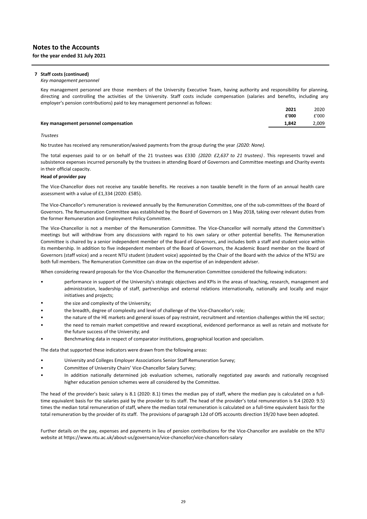#### **7 Staff costs (continued)**

#### *Key management personnel*

Key management personnel are those members of the University Executive Team, having authority and responsibility for planning, directing and controlling the activities of the University. Staff costs include compensation (salaries and benefits, including any employer's pension contributions) paid to key management personnel as follows:

|                                       | 2021  | 2020  |
|---------------------------------------|-------|-------|
|                                       | £'000 | £'000 |
| Key management personnel compensation | 1.842 | 2,009 |
|                                       |       |       |

#### *Trustees*

No trustee has received any remuneration/waived payments from the group during the year *(2020: None).*

The total expenses paid to or on behalf of the 21 trustees was £330 *(2020: £2,637 to 21 trustees)*. This represents travel and subsistence expenses incurred personally by the trustees in attending Board of Governors and Committee meetings and Charity events in their official capacity.

#### **Head of provider pay**

The Vice‐Chancellor does not receive any taxable benefits. He receives a non taxable benefit in the form of an annual health care assessment with a value of £1,334 (2020: £585).

The Vice-Chancellor's remuneration is reviewed annually by the Remuneration Committee, one of the sub-committees of the Board of Governors. The Remuneration Committee was established by the Board of Governors on 1 May 2018, taking over relevant duties from the former Remuneration and Employment Policy Committee.

The Vice-Chancellor is not a member of the Remuneration Committee. The Vice-Chancellor will normally attend the Committee's meetings but will withdraw from any discussions with regard to his own salary or other potential benefits. The Remuneration Committee is chaired by a senior independent member of the Board of Governors, and includes both a staff and student voice within its membership. In addition to five independent members of the Board of Governors, the Academic Board member on the Board of Governors (staff voice) and a recent NTU student (student voice) appointed by the Chair of the Board with the advice of the NTSU are both full members. The Remuneration Committee can draw on the expertise of an independent adviser.

When considering reward proposals for the Vice-Chancellor the Remuneration Committee considered the following indicators:

- performance in support of the University's strategic objectives and KPIs in the areas of teaching, research, management and administration, leadership of staff, partnerships and external relations internationally, nationally and locally and major initiatives and projects;
- the size and complexity of the University;
- the breadth, degree of complexity and level of challenge of the Vice-Chancellor's role;
- the nature of the HE markets and general issues of pay restraint, recruitment and retention challenges within the HE sector;
- the need to remain market competitive and reward exceptional, evidenced performance as well as retain and motivate for the future success of the University; and
- Benchmarking data in respect of comparator institutions, geographical location and specialism.

The data that supported these indicators were drawn from the following areas:

- University and Colleges Employer Associations Senior Staff Remuneration Survey;
- Committee of University Chairs' Vice‐Chancellor Salary Survey;
- In addition nationally determined job evaluation schemes, nationally negotiated pay awards and nationally recognised higher education pension schemes were all considered by the Committee.

The head of the provider's basic salary is 8.1 (2020: 8.1) times the median pay of staff, where the median pay is calculated on a fulltime equivalent basis for the salaries paid by the provider to its staff. The head of the provider's total remuneration is 9.4 (2020: 9.5) times the median total remuneration of staff, where the median total remuneration is calculated on a full-time equivalent basis for the total remuneration by the provider of its staff. The provisions of paragraph 12d of OfS accounts direction 19/20 have been adopted.

Further details on the pay, expenses and payments in lieu of pension contributions for the Vice‐Chancellor are available on the NTU website at https://www.ntu.ac.uk/about-us/governance/vice-chancellor/vice-chancellors-salary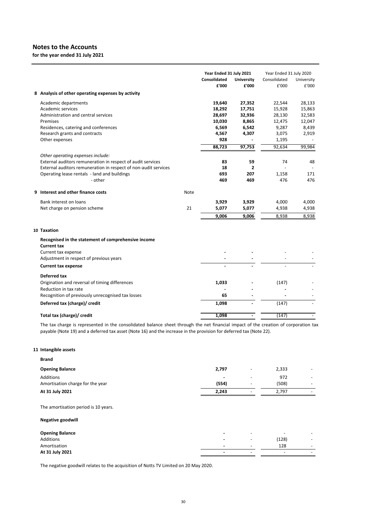**for the year ended 31 July 2021**

| 8 Analysis of other operating expenses by activity<br>27,352<br>28,133<br>Academic departments<br>19,640<br>22,544<br>Academic services<br>15,863<br>18,292<br>17,751<br>15,928<br>Administration and central services<br>28,697<br>32,936<br>28,130<br>32,583<br>10,030<br>8,865<br>12,047<br>Premises<br>12,475<br>6,569<br>9,287<br>Residences, catering and conferences<br>6,542<br>8,439<br>Research grants and contracts<br>4,567<br>4,307<br>3,075<br>2,919<br>Other expenses<br>928<br>1,195<br>88,723<br>97,753<br>92,634<br>99,984<br>Other operating expenses include:<br>External auditors remuneration in respect of audit services<br>83<br>59<br>74<br>48<br>External auditors remuneration in respect of non-audit services<br>18<br>2<br>Operating lease rentals - land and buildings<br>693<br>207<br>171<br>1,158<br>469<br>476<br>476<br>- other<br>469<br>9 Interest and other finance costs<br>Note<br>Bank interest on loans<br>3,929<br>3,929<br>4,000<br>4,000<br>21<br>5,077<br>4,938<br>Net charge on pension scheme<br>5,077<br>4,938<br>9,006<br>8,938<br>9,006<br>8,938<br>10 Taxation<br>Recognised in the statement of comprehensive income<br><b>Current tax</b><br>Current tax expense<br>Adjustment in respect of previous years<br><b>Current tax expense</b><br>Deferred tax<br>Origination and reversal of timing differences<br>1,033<br>(147)<br>Reduction in tax rate<br>Recognition of previously unrecognised tax losses<br>65<br>Deferred tax (charge)/ credit<br>1,098<br>(147)<br>(147)<br>Total tax (charge)/ credit<br>1,098<br>$\overline{\phantom{a}}$<br>$\overline{\phantom{a}}$ |  |  | Year Ended 31 July 2021<br><b>Consolidated</b><br>£'000 | <b>University</b><br>£'000 | Year Ended 31 July 2020<br>Consolidated<br>£'000 | University<br>£'000 |
|--------------------------------------------------------------------------------------------------------------------------------------------------------------------------------------------------------------------------------------------------------------------------------------------------------------------------------------------------------------------------------------------------------------------------------------------------------------------------------------------------------------------------------------------------------------------------------------------------------------------------------------------------------------------------------------------------------------------------------------------------------------------------------------------------------------------------------------------------------------------------------------------------------------------------------------------------------------------------------------------------------------------------------------------------------------------------------------------------------------------------------------------------------------------------------------------------------------------------------------------------------------------------------------------------------------------------------------------------------------------------------------------------------------------------------------------------------------------------------------------------------------------------------------------------------------------------------------------------------------------------------------|--|--|---------------------------------------------------------|----------------------------|--------------------------------------------------|---------------------|
|                                                                                                                                                                                                                                                                                                                                                                                                                                                                                                                                                                                                                                                                                                                                                                                                                                                                                                                                                                                                                                                                                                                                                                                                                                                                                                                                                                                                                                                                                                                                                                                                                                      |  |  |                                                         |                            |                                                  |                     |
|                                                                                                                                                                                                                                                                                                                                                                                                                                                                                                                                                                                                                                                                                                                                                                                                                                                                                                                                                                                                                                                                                                                                                                                                                                                                                                                                                                                                                                                                                                                                                                                                                                      |  |  |                                                         |                            |                                                  |                     |
|                                                                                                                                                                                                                                                                                                                                                                                                                                                                                                                                                                                                                                                                                                                                                                                                                                                                                                                                                                                                                                                                                                                                                                                                                                                                                                                                                                                                                                                                                                                                                                                                                                      |  |  |                                                         |                            |                                                  |                     |
|                                                                                                                                                                                                                                                                                                                                                                                                                                                                                                                                                                                                                                                                                                                                                                                                                                                                                                                                                                                                                                                                                                                                                                                                                                                                                                                                                                                                                                                                                                                                                                                                                                      |  |  |                                                         |                            |                                                  |                     |
|                                                                                                                                                                                                                                                                                                                                                                                                                                                                                                                                                                                                                                                                                                                                                                                                                                                                                                                                                                                                                                                                                                                                                                                                                                                                                                                                                                                                                                                                                                                                                                                                                                      |  |  |                                                         |                            |                                                  |                     |
|                                                                                                                                                                                                                                                                                                                                                                                                                                                                                                                                                                                                                                                                                                                                                                                                                                                                                                                                                                                                                                                                                                                                                                                                                                                                                                                                                                                                                                                                                                                                                                                                                                      |  |  |                                                         |                            |                                                  |                     |
|                                                                                                                                                                                                                                                                                                                                                                                                                                                                                                                                                                                                                                                                                                                                                                                                                                                                                                                                                                                                                                                                                                                                                                                                                                                                                                                                                                                                                                                                                                                                                                                                                                      |  |  |                                                         |                            |                                                  |                     |
|                                                                                                                                                                                                                                                                                                                                                                                                                                                                                                                                                                                                                                                                                                                                                                                                                                                                                                                                                                                                                                                                                                                                                                                                                                                                                                                                                                                                                                                                                                                                                                                                                                      |  |  |                                                         |                            |                                                  |                     |
|                                                                                                                                                                                                                                                                                                                                                                                                                                                                                                                                                                                                                                                                                                                                                                                                                                                                                                                                                                                                                                                                                                                                                                                                                                                                                                                                                                                                                                                                                                                                                                                                                                      |  |  |                                                         |                            |                                                  |                     |
|                                                                                                                                                                                                                                                                                                                                                                                                                                                                                                                                                                                                                                                                                                                                                                                                                                                                                                                                                                                                                                                                                                                                                                                                                                                                                                                                                                                                                                                                                                                                                                                                                                      |  |  |                                                         |                            |                                                  |                     |
|                                                                                                                                                                                                                                                                                                                                                                                                                                                                                                                                                                                                                                                                                                                                                                                                                                                                                                                                                                                                                                                                                                                                                                                                                                                                                                                                                                                                                                                                                                                                                                                                                                      |  |  |                                                         |                            |                                                  |                     |
|                                                                                                                                                                                                                                                                                                                                                                                                                                                                                                                                                                                                                                                                                                                                                                                                                                                                                                                                                                                                                                                                                                                                                                                                                                                                                                                                                                                                                                                                                                                                                                                                                                      |  |  |                                                         |                            |                                                  |                     |
|                                                                                                                                                                                                                                                                                                                                                                                                                                                                                                                                                                                                                                                                                                                                                                                                                                                                                                                                                                                                                                                                                                                                                                                                                                                                                                                                                                                                                                                                                                                                                                                                                                      |  |  |                                                         |                            |                                                  |                     |
|                                                                                                                                                                                                                                                                                                                                                                                                                                                                                                                                                                                                                                                                                                                                                                                                                                                                                                                                                                                                                                                                                                                                                                                                                                                                                                                                                                                                                                                                                                                                                                                                                                      |  |  |                                                         |                            |                                                  |                     |
|                                                                                                                                                                                                                                                                                                                                                                                                                                                                                                                                                                                                                                                                                                                                                                                                                                                                                                                                                                                                                                                                                                                                                                                                                                                                                                                                                                                                                                                                                                                                                                                                                                      |  |  |                                                         |                            |                                                  |                     |
|                                                                                                                                                                                                                                                                                                                                                                                                                                                                                                                                                                                                                                                                                                                                                                                                                                                                                                                                                                                                                                                                                                                                                                                                                                                                                                                                                                                                                                                                                                                                                                                                                                      |  |  |                                                         |                            |                                                  |                     |
|                                                                                                                                                                                                                                                                                                                                                                                                                                                                                                                                                                                                                                                                                                                                                                                                                                                                                                                                                                                                                                                                                                                                                                                                                                                                                                                                                                                                                                                                                                                                                                                                                                      |  |  |                                                         |                            |                                                  |                     |
|                                                                                                                                                                                                                                                                                                                                                                                                                                                                                                                                                                                                                                                                                                                                                                                                                                                                                                                                                                                                                                                                                                                                                                                                                                                                                                                                                                                                                                                                                                                                                                                                                                      |  |  |                                                         |                            |                                                  |                     |
|                                                                                                                                                                                                                                                                                                                                                                                                                                                                                                                                                                                                                                                                                                                                                                                                                                                                                                                                                                                                                                                                                                                                                                                                                                                                                                                                                                                                                                                                                                                                                                                                                                      |  |  |                                                         |                            |                                                  |                     |
|                                                                                                                                                                                                                                                                                                                                                                                                                                                                                                                                                                                                                                                                                                                                                                                                                                                                                                                                                                                                                                                                                                                                                                                                                                                                                                                                                                                                                                                                                                                                                                                                                                      |  |  |                                                         |                            |                                                  |                     |
|                                                                                                                                                                                                                                                                                                                                                                                                                                                                                                                                                                                                                                                                                                                                                                                                                                                                                                                                                                                                                                                                                                                                                                                                                                                                                                                                                                                                                                                                                                                                                                                                                                      |  |  |                                                         |                            |                                                  |                     |
|                                                                                                                                                                                                                                                                                                                                                                                                                                                                                                                                                                                                                                                                                                                                                                                                                                                                                                                                                                                                                                                                                                                                                                                                                                                                                                                                                                                                                                                                                                                                                                                                                                      |  |  |                                                         |                            |                                                  |                     |
|                                                                                                                                                                                                                                                                                                                                                                                                                                                                                                                                                                                                                                                                                                                                                                                                                                                                                                                                                                                                                                                                                                                                                                                                                                                                                                                                                                                                                                                                                                                                                                                                                                      |  |  |                                                         |                            |                                                  |                     |
|                                                                                                                                                                                                                                                                                                                                                                                                                                                                                                                                                                                                                                                                                                                                                                                                                                                                                                                                                                                                                                                                                                                                                                                                                                                                                                                                                                                                                                                                                                                                                                                                                                      |  |  |                                                         |                            |                                                  |                     |
|                                                                                                                                                                                                                                                                                                                                                                                                                                                                                                                                                                                                                                                                                                                                                                                                                                                                                                                                                                                                                                                                                                                                                                                                                                                                                                                                                                                                                                                                                                                                                                                                                                      |  |  |                                                         |                            |                                                  |                     |
|                                                                                                                                                                                                                                                                                                                                                                                                                                                                                                                                                                                                                                                                                                                                                                                                                                                                                                                                                                                                                                                                                                                                                                                                                                                                                                                                                                                                                                                                                                                                                                                                                                      |  |  |                                                         |                            |                                                  |                     |
|                                                                                                                                                                                                                                                                                                                                                                                                                                                                                                                                                                                                                                                                                                                                                                                                                                                                                                                                                                                                                                                                                                                                                                                                                                                                                                                                                                                                                                                                                                                                                                                                                                      |  |  |                                                         |                            |                                                  |                     |
|                                                                                                                                                                                                                                                                                                                                                                                                                                                                                                                                                                                                                                                                                                                                                                                                                                                                                                                                                                                                                                                                                                                                                                                                                                                                                                                                                                                                                                                                                                                                                                                                                                      |  |  |                                                         |                            |                                                  |                     |
|                                                                                                                                                                                                                                                                                                                                                                                                                                                                                                                                                                                                                                                                                                                                                                                                                                                                                                                                                                                                                                                                                                                                                                                                                                                                                                                                                                                                                                                                                                                                                                                                                                      |  |  |                                                         |                            |                                                  |                     |

The tax charge is represented in the consolidated balance sheet through the net financial impact of the creation of corporation tax payable (Note 19) and a deferred tax asset (Note 16) and the increase in the provision for deferred tax (Note 22).

# **11 Intangible assets**

| <b>Brand</b>                     |                |                          |       |                          |
|----------------------------------|----------------|--------------------------|-------|--------------------------|
| <b>Opening Balance</b>           | 2,797          | $\overline{\phantom{0}}$ | 2,333 | $\overline{\phantom{a}}$ |
| Additions                        | $\blacksquare$ | $\overline{\phantom{a}}$ | 972   | $\overline{\phantom{a}}$ |
| Amortisation charge for the year | (554)          | $\overline{\phantom{a}}$ | (508) | $\overline{\phantom{0}}$ |
| At 31 July 2021                  | 2,243          | $\overline{\phantom{a}}$ | 2.797 | $\overline{\phantom{a}}$ |
|                                  |                |                          |       |                          |

The amortisation period is 10 years.

#### **Negative goodwill**

| <b>Opening Balance</b> |                          | -                        | -                        | $\overline{\phantom{0}}$ |
|------------------------|--------------------------|--------------------------|--------------------------|--------------------------|
| Additions              | $\overline{\phantom{a}}$ | -                        | (128)                    | $\overline{\phantom{0}}$ |
| Amortisation           | $\overline{\phantom{a}}$ | -                        | 128                      | $\overline{\phantom{0}}$ |
| At 31 July 2021        | $\overline{\phantom{a}}$ | $\overline{\phantom{0}}$ | $\overline{\phantom{a}}$ | $\overline{\phantom{0}}$ |

The negative goodwill relates to the acquisition of Notts TV Limited on 20 May 2020.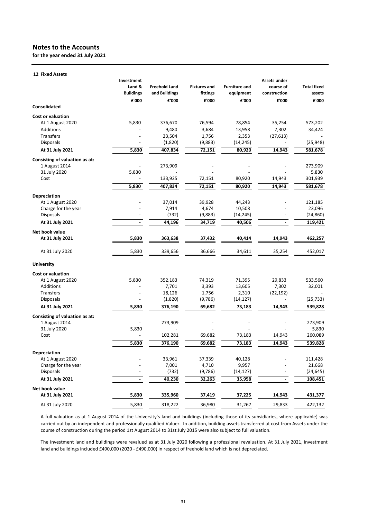**for the year ended 31 July 2021**

|                                | Investment<br>Land &     | <b>Freehold Land</b> | <b>Fixtures and</b> | <b>Furniture and</b> | Assets under<br>course of | <b>Total fixed</b> |
|--------------------------------|--------------------------|----------------------|---------------------|----------------------|---------------------------|--------------------|
|                                | <b>Buildings</b>         | and Buildings        | fittings            | equipment            | construction              | assets             |
| <b>Consolidated</b>            | £'000                    | £'000                | £'000               | £'000                | £'000                     | £'000              |
| <b>Cost or valuation</b>       |                          |                      |                     |                      |                           |                    |
| At 1 August 2020               | 5,830                    | 376,670              | 76,594              | 78,854               | 35,254                    | 573,202            |
| Additions                      |                          | 9,480                | 3,684               | 13,958               | 7,302                     | 34,424             |
| <b>Transfers</b>               |                          | 23,504               | 1,756               | 2,353                | (27, 613)                 |                    |
| <b>Disposals</b>               |                          | (1,820)              | (9,883)             | (14, 245)            |                           | (25, 948)          |
| At 31 July 2021                | 5,830                    | 407,834              | 72,151              | 80,920               | 14,943                    | 581,678            |
| Consisting of valuation as at: |                          |                      |                     |                      |                           |                    |
| 1 August 2014                  |                          | 273,909              |                     |                      |                           | 273,909            |
| 31 July 2020                   | 5,830                    |                      |                     |                      |                           | 5,830              |
| Cost                           |                          | 133,925              | 72,151              | 80,920               | 14,943                    | 301,939            |
|                                | 5,830                    | 407,834              | 72,151              | 80,920               | 14,943                    | 581,678            |
| Depreciation                   |                          |                      |                     |                      |                           |                    |
| At 1 August 2020               |                          | 37,014               | 39,928              | 44,243               |                           | 121,185            |
| Charge for the year            |                          | 7,914                | 4,674               | 10,508               |                           | 23,096             |
| Disposals                      |                          | (732)                | (9,883)             | (14, 245)            |                           | (24, 860)          |
| At 31 July 2021                |                          | 44,196               | 34,719              | 40,506               |                           | 119,421            |
| Net book value                 |                          |                      |                     |                      |                           |                    |
| At 31 July 2021                | 5,830                    | 363,638              | 37,432              | 40,414               | 14,943                    | 462,257            |
| At 31 July 2020                | 5,830                    | 339,656              | 36,666              | 34,611               | 35,254                    | 452,017            |
| <b>University</b>              |                          |                      |                     |                      |                           |                    |
| <b>Cost or valuation</b>       |                          |                      |                     |                      |                           |                    |
| At 1 August 2020               | 5,830                    | 352,183              | 74,319              | 71,395               | 29,833                    | 533,560            |
| <b>Additions</b>               |                          | 7,701                | 3,393               | 13,605               | 7,302                     | 32,001             |
| Transfers                      |                          | 18,126               | 1,756               | 2,310                | (22, 192)                 |                    |
| <b>Disposals</b>               |                          | (1,820)              | (9,786)             | (14, 127)            |                           | (25, 733)          |
| At 31 July 2021                | 5,830                    | 376,190              | 69,682              | 73,183               | 14,943                    | 539,828            |
| Consisting of valuation as at: |                          |                      |                     |                      |                           |                    |
| 1 August 2014                  |                          | 273,909              |                     |                      |                           | 273,909            |
| 31 July 2020                   | 5,830                    |                      |                     |                      |                           | 5,830              |
| Cost                           |                          | 102,281              | 69,682              | 73,183               | 14,943                    | 260,089            |
|                                | 5,830                    | 376,190              | 69,682              | 73,183               | 14,943                    | 539,828            |
| Depreciation                   |                          |                      |                     |                      |                           |                    |
| At 1 August 2020               |                          | 33,961               | 37,339              | 40,128               |                           | 111,428            |
| Charge for the year            |                          | 7,001                | 4,710               | 9,957                |                           | 21,668             |
| <b>Disposals</b>               |                          | (732)                | (9,786)             | (14, 127)            |                           | (24, 645)          |
| At 31 July 2021                | $\overline{\phantom{a}}$ | 40,230               | 32,263              | 35,958               | $\blacksquare$            | 108,451            |
| Net book value                 |                          |                      |                     |                      |                           |                    |
| At 31 July 2021                | 5,830                    | 335,960              | 37,419              | 37,225               | 14,943                    | 431,377            |
| At 31 July 2020                | 5,830                    | 318,222              | 36,980              | 31,267               | 29,833                    | 422,132            |

A full valuation as at 1 August 2014 of the University's land and buildings (including those of its subsidiaries, where applicable) was carried out by an independent and professionally qualified Valuer. In addition, building assets transferred at cost from Assets under the course of construction during the period 1st August 2014 to 31st July 2015 were also subject to full valuation.

The investment land and buildings were revalued as at 31 July 2020 following a professional revaluation. At 31 July 2021, investment land and buildings included £490,000 (2020 ‐ £490,000) in respect of freehold land which is not depreciated.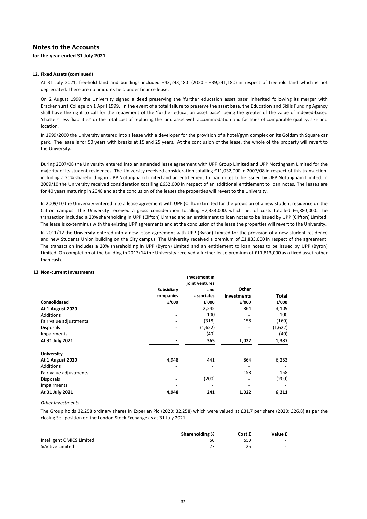#### **12. Fixed Assets (continued)**

At 31 July 2021, freehold land and buildings included £43,243,180 (2020 ‐ £39,241,180) in respect of freehold land which is not depreciated. There are no amounts held under finance lease.

On 2 August 1999 the University signed a deed preserving the 'further education asset base' inherited following its merger with Brackenhurst College on 1 April 1999. In the event of a total failure to preserve the asset base, the Education and Skills Funding Agency shall have the right to call for the repayment of the 'further education asset base', being the greater of the value of indexed‐based 'chattels' less 'liabilities' or the total cost of replacing the land asset with accommodation and facilities of comparable quality, size and location.

In 1999/2000 the University entered into a lease with a developer for the provision of a hotel/gym complex on its Goldsmith Square car park. The lease is for 50 years with breaks at 15 and 25 years. At the conclusion of the lease, the whole of the property will revert to the University.

During 2007/08 the University entered into an amended lease agreement with UPP Group Limited and UPP Nottingham Limited for the majority of its student residences. The University received consideration totalling £11,032,000 in 2007/08 in respect of this transaction, including a 20% shareholding in UPP Nottingham Limited and an entitlement to loan notes to be issued by UPP Nottingham Limited. In 2009/10 the University received consideration totalling £652,000 in respect of an additional entitlement to loan notes. The leases are for 40 years maturing in 2048 and at the conclusion of the leases the properties will revert to the University.

In 2009/10 the University entered into a lease agreement with UPP (Clifton) Limited for the provision of a new student residence on the Clifton campus. The University received a gross consideration totalling £7,333,000, which net of costs totalled £6,880,000. The transaction included a 20% shareholding in UPP (Clifton) Limited and an entitlement to loan notes to be issued by UPP (Clifton) Limited. The lease is co-terminus with the existing UPP agreements and at the conclusion of the lease the properties will revert to the University.

In 2011/12 the University entered into a new lease agreement with UPP (Byron) Limited for the provision of a new student residence and new Students Union building on the City campus. The University received a premium of £1,833,000 in respect of the agreement. The transaction includes a 20% shareholding in UPP (Byron) Limited and an entitlement to loan notes to be issued by UPP (Byron) Limited. On completion of the building in 2013/14 the University received a further lease premium of £11,813,000 as a fixed asset rather than cash.

#### **13 Non‐current Investments**

|                         |            | Investment in  |                    |         |
|-------------------------|------------|----------------|--------------------|---------|
|                         |            | joint ventures |                    |         |
|                         | Subsidiary | and            | Other              |         |
|                         | companies  | associates     | <b>Investments</b> | Total   |
| Consolidated            | £'000      | £'000          | £'000              | £'000   |
| <b>At 1 August 2020</b> |            | 2,245          | 864                | 3,109   |
| Additions               |            | 100            |                    | 100     |
| Fair value adjustments  |            | (318)          | 158                | (160)   |
| <b>Disposals</b>        |            | (1,622)        |                    | (1,622) |
| Impairments             |            | (40)           |                    | (40)    |
| At 31 July 2021         |            | 365            | 1,022              | 1,387   |
| <b>University</b>       |            |                |                    |         |
| <b>At 1 August 2020</b> | 4,948      | 441            | 864                | 6,253   |
| Additions               |            | $\overline{a}$ |                    |         |
| Fair value adjustments  |            |                | 158                | 158     |
| <b>Disposals</b>        |            | (200)          |                    | (200)   |
| Impairments             |            |                |                    |         |
| At 31 July 2021         | 4,948      | 241            | 1,022              | 6,211   |

#### *Other Investments*

The Group holds 32,258 ordinary shares in Experian Plc (2020: 32,258) which were valued at £31.7 per share (2020: £26.8) as per the closing Sell position on the London Stock Exchange as at 31 July 2021.

|                           | <b>Shareholding %</b> | Cost £ | Value £ |
|---------------------------|-----------------------|--------|---------|
| Intelligent OMICS Limited | 50                    | 550    | -       |
| SiActive Limited          |                       |        |         |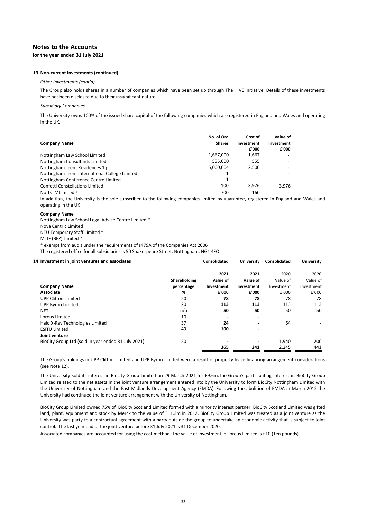# **Notes to the Accounts for the year ended 31 July 2021**

#### **13 Non‐current Investments (continued)**

#### *Other Investments (cont'd)*

The Group also holds shares in a number of companies which have been set up through The HIVE Initiative. Details of these investments have not been disclosed due to their insignificant nature.

### *Subsidiary Companies*

The University owns 100% of the issued share capital of the following companies which are registered in England and Wales and operating in the UK.

| <b>Company Name</b>                            | No. of Ord<br><b>Shares</b> | Cost of<br>Investment<br>£'000 | Value of<br>Investment<br>£'000 |
|------------------------------------------------|-----------------------------|--------------------------------|---------------------------------|
| Nottingham Law School Limited                  | 1,667,000                   | 1,667                          |                                 |
| Nottingham Consultants Limited                 | 555.000                     | 555                            |                                 |
| Nottingham Trent Residences 1 plc              | 5,000,004                   | 2,500                          |                                 |
| Nottingham Trent International College Limited |                             |                                |                                 |
| Nottingham Conference Centre Limited           |                             |                                |                                 |
| <b>Confetti Constellations Limited</b>         | 100                         | 3.976                          | 3,976                           |
| Notts TV Limited *                             | 700                         | 160                            |                                 |

In addition, the University is the sole subscriber to the following companies limited by guarantee, registered in England and Wales and operating in the UK

#### **Company Name**

Nova Centric Limited NTU Temporary Staff Limited \* MTIF (BEZ) Limited \* \* exempt from audit under the requirements of s479A of the Companies Act 2006 The registered office for all subsidiaries is 50 Shakespeare Street, Nottingham, NG1 4FQ. Nottingham Law School Legal Advice Centre Limited \*

### **14 Investment in joint ventures and associates Consolidated University Consolidated University**

|                                                     |              | 2021       | 2021                     | 2020                     | 2020       |
|-----------------------------------------------------|--------------|------------|--------------------------|--------------------------|------------|
|                                                     | Shareholding | Value of   | Value of                 | Value of                 | Value of   |
| <b>Company Name</b>                                 | percentage   | Investment | Investment               | Investment               | Investment |
| <b>Associate</b>                                    | %            | £'000      | £'000                    | £'000                    | £'000      |
| <b>UPP Clifton Limited</b>                          | 20           | 78         | 78                       | 78                       | 78         |
| UPP Byron Limited                                   | 20           | 113        | 113                      | 113                      | 113        |
| <b>NET</b>                                          | n/a          | 50         | 50                       | 50                       | 50         |
| Loreus Limited                                      | 10           |            |                          |                          |            |
| Halo X-Ray Technologies Limited                     | 37           | 24         | $\overline{\phantom{0}}$ | 64                       |            |
| <b>ESITU Limited</b>                                | 49           | 100        |                          | $\overline{\phantom{0}}$ |            |
| Joint venture                                       |              |            |                          |                          |            |
| BioCity Group Ltd (sold in year ended 31 July 2021) | 50           |            |                          | 1,940                    | 200        |
|                                                     |              | 365        | 241                      | 2,245                    | 441        |

The Group's holdings in UPP Clifton Limited and UPP Byron Limited were a result of property lease financing arrangement considerations (see Note 12).

The University sold its interest in Biocity Group Limited on 29 March 2021 for £9.6m.The Group's participating interest in BioCity Group Limited related to the net assets in the joint venture arrangement entered into by the University to form BioCity Nottingham Limited with the University of Nottingham and the East Midlands Development Agency (EMDA). Following the abolition of EMDA in March 2012 the University had continued the joint venture arrangement with the University of Nottingham.

BioCity Group Limited owned 75% of BioCity Scotland Limited formed with a minority interest partner. BioCity Scotland Limited was gifted land, plant, equipment and stock by Merck to the value of £11.3m in 2012. BioCity Group Limited was treated as a joint venture as the University was party to a contractual agreement with a party outside the group to undertake an economic activity that is subject to joint control. The last year end of the joint venture before 31 July 2021 is 31 December 2020.

Associated companies are accounted for using the cost method. The value of investment in Loreus Limited is £10 (Ten pounds).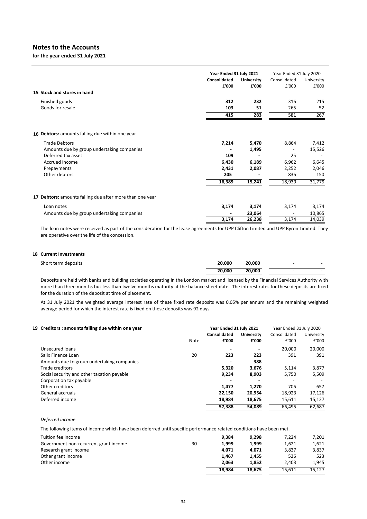**for the year ended 31 July 2021**

|                                                          |              | Year Ended 31 July 2021 |              | Year Ended 31 July 2020 |
|----------------------------------------------------------|--------------|-------------------------|--------------|-------------------------|
|                                                          | Consolidated | <b>University</b>       | Consolidated | University              |
|                                                          | £'000        | £'000                   | £'000        | £'000                   |
| 15 Stock and stores in hand                              |              |                         |              |                         |
| Finished goods                                           | 312          | 232                     | 316          | 215                     |
| Goods for resale                                         | 103          | 51                      | 265          | 52                      |
|                                                          | 415          | 283                     | 581          | 267                     |
| 16 Debtors: amounts falling due within one year          |              |                         |              |                         |
| <b>Trade Debtors</b>                                     | 7,214        | 5,470                   | 8,864        | 7,412                   |
| Amounts due by group undertaking companies               |              | 1,495                   |              | 15,526                  |
| Deferred tax asset                                       | 109          |                         | 25           |                         |
| Accrued Income                                           | 6,430        | 6,189                   | 6,962        | 6,645                   |
| Prepayments                                              | 2,431        | 2,087                   | 2,252        | 2,046                   |
| Other debtors                                            | 205          |                         | 836          | 150                     |
|                                                          | 16,389       | 15,241                  | 18,939       | 31,779                  |
| 17 Debtors: amounts falling due after more than one year |              |                         |              |                         |
| Loan notes                                               | 3,174        | 3,174                   | 3,174        | 3,174                   |
| Amounts due by group undertaking companies               |              | 23,064                  |              | 10,865                  |
|                                                          | 3,174        | 26,238                  | 3,174        | 14,039                  |

The loan notes were received as part of the consideration for the lease agreements for UPP Clifton Limited and UPP Byron Limited. They are operative over the life of the concession.

### **18 Current Investments**

| Short term deposits | 20.000 | 20,000 | $\overline{\phantom{0}}$ |  |
|---------------------|--------|--------|--------------------------|--|
|                     | 20.000 | 20,000 |                          |  |

Deposits are held with banks and building societies operating in the London market and licensed by the Financial Services Authority with more than three months but less than twelve months maturity at the balance sheet date. The interest rates for these deposits are fixed for the duration of the deposit at time of placement.

At 31 July 2021 the weighted average interest rate of these fixed rate deposits was 0.05% per annum and the remaining weighted average period for which the interest rate is fixed on these deposits was 92 days.

| 19 Creditors: amounts falling due within one year |      | Year Ended 31 July 2021  |                   | Year Ended 31 July 2020  |            |  |
|---------------------------------------------------|------|--------------------------|-------------------|--------------------------|------------|--|
|                                                   |      | Consolidated             | <b>University</b> | Consolidated             | University |  |
|                                                   | Note | £'000                    | £'000             | £'000                    | £'000      |  |
| Unsecured loans                                   |      | $\overline{\phantom{a}}$ |                   | 20,000                   | 20,000     |  |
| Salix Finance Loan                                | 20   | 223                      | 223               | 391                      | 391        |  |
| Amounts due to group undertaking companies        |      | $\overline{\phantom{0}}$ | 388               | $\overline{\phantom{a}}$ |            |  |
| Trade creditors                                   |      | 5.320                    | 3.676             | 5.114                    | 3,877      |  |
| Social security and other taxation payable        |      | 9,234                    | 8,903             | 5.750                    | 5,509      |  |
| Corporation tax payable                           |      |                          |                   |                          |            |  |
| Other creditors                                   |      | 1.477                    | 1.270             | 706                      | 657        |  |
| General accruals                                  |      | 22,150                   | 20,954            | 18,923                   | 17,126     |  |
| Deferred income                                   |      | 18.984                   | 18,675            | 15.611                   | 15,127     |  |
|                                                   |      | 57.388                   | 54.089            | 66.495                   | 62.687     |  |

#### *Deferred income*

The following items of income which have been deferred until specific performance related conditions have been met.

| Tuition fee income                    |    | 9.384  | 9.298  | 7.224  | 7,201  |
|---------------------------------------|----|--------|--------|--------|--------|
| Government non-recurrent grant income | 30 | 1.999  | 1.999  | 1,621  | 1,621  |
| Research grant income                 |    | 4.071  | 4.071  | 3.837  | 3,837  |
| Other grant income                    |    | 1.467  | 1.455  | 526    | 523    |
| Other income                          |    | 2.063  | 1.852  | 2.403  | 1,945  |
|                                       |    | 18.984 | 18.675 | 15.611 | 15.127 |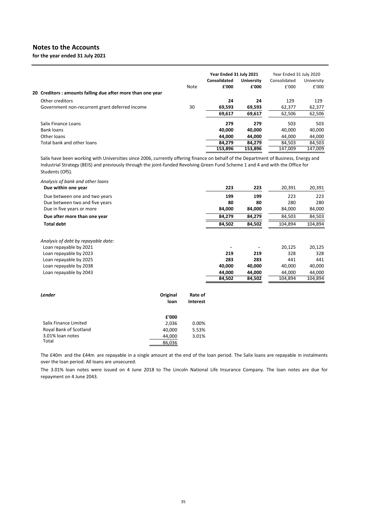**for the year ended 31 July 2021**

|                                                            |      | Year Ended 31 July 2021 |                   | Year Ended 31 July 2020 |            |
|------------------------------------------------------------|------|-------------------------|-------------------|-------------------------|------------|
|                                                            |      | Consolidated            | <b>University</b> | Consolidated            | University |
|                                                            | Note | £'000                   | £'000             | £'000                   | £'000      |
| 20 Creditors: amounts falling due after more than one year |      |                         |                   |                         |            |
| Other creditors                                            |      | 24                      | 24                | 129                     | 129        |
| Government non-recurrent grant deferred income             | 30   | 69,593                  | 69,593            | 62,377                  | 62,377     |
|                                                            |      | 69,617                  | 69,617            | 62,506                  | 62,506     |
| Salix Finance Loans                                        |      | 279                     | 279               | 503                     | 503        |
| Bank loans                                                 |      | 40.000                  | 40.000            | 40.000                  | 40,000     |
| Other loans                                                |      | 44.000                  | 44,000            | 44.000                  | 44,000     |
| Total bank and other loans                                 |      | 84.279                  | 84.279            | 84.503                  | 84,503     |
|                                                            |      | 153.896                 | 153.896           | 147.009                 | 147.009    |

Salix have been working with Universities since 2006, currently offering finance on behalf of the Department of Business, Energy and Industrial Strategy (BEIS) and previously through the joint‐funded Revolving Green Fund Scheme 1 and 4 and with the Office for Students (OfS).

| Analysis of bank and other loans<br>Due within one year | 223    | 223    | 20,391  | 20,391  |
|---------------------------------------------------------|--------|--------|---------|---------|
| Due between one and two years                           | 199    | 199    | 223     | 223     |
| Due between two and five years                          | 80     | 80     | 280     | 280     |
| Due in five years or more                               | 84,000 | 84,000 | 84,000  | 84,000  |
| Due after more than one year                            | 84,279 | 84,279 | 84,503  | 84,503  |
| <b>Total debt</b>                                       | 84,502 | 84,502 | 104,894 | 104,894 |
| Analysis of debt by repayable date:                     |        |        |         |         |
| Loan repayable by 2021                                  |        |        | 20,125  | 20,125  |
| Loan repayable by 2023                                  | 219    | 219    | 328     | 328     |
| Loan repayable by 2025                                  | 283    | 283    | 441     | 441     |
| Loan repayable by 2038                                  | 40,000 | 40,000 | 40,000  | 40,000  |
| Loan repayable by 2043                                  | 44.000 | 44.000 | 44.000  | 44,000  |
|                                                         | 84,502 | 84,502 | 104,894 | 104,894 |

| Lender                 | Original<br>loan | Rate of<br><b>Interest</b> |
|------------------------|------------------|----------------------------|
|                        | £'000            |                            |
| Salix Finance Limited  | 2,036            | 0.00%                      |
| Roval Bank of Scotland | 40.000           | 5.53%                      |
| 3.01% loan notes       | 44,000           | 3.01%                      |
| Total                  | 86.036           |                            |

The £40m and the £44m are repayable in a single amount at the end of the loan period. The Salix loans are repayable in instalments over the loan period. All loans are unsecured.

The 3.01% loan notes were issued on 4 June 2018 to The Lincoln National Life Insurance Company. The loan notes are due for repayment on 4 June 2043.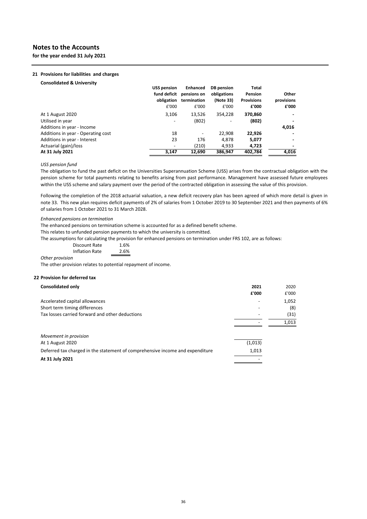**for the year ended 31 July 2021**

#### **21 Provisions for liabilities and charges**

|                                    | <b>USS pension</b><br>fund deficit<br>obligation | <b>Enhanced</b><br>pensions on<br>termination | DB pension<br>obligations<br>(Note 33)<br>£'000 | <b>Total</b><br>Pension<br><b>Provisions</b> | Other<br>provisions<br>£'000 |
|------------------------------------|--------------------------------------------------|-----------------------------------------------|-------------------------------------------------|----------------------------------------------|------------------------------|
|                                    | £'000                                            | £'000                                         |                                                 | £'000                                        |                              |
| At 1 August 2020                   | 3.106                                            | 13.526                                        | 354.228                                         | 370.860                                      |                              |
| Utilised in year                   |                                                  | (802)                                         |                                                 | (802)                                        |                              |
| Additions in year - Income         |                                                  |                                               |                                                 |                                              | 4,016                        |
| Additions in year - Operating cost | 18                                               |                                               | 22,908                                          | 22,926                                       |                              |
| Additions in year - Interest       | 23                                               | 176                                           | 4,878                                           | 5,077                                        |                              |
| Actuarial (gain)/loss              |                                                  | (210)                                         | 4,933                                           | 4,723                                        |                              |
| At 31 July 2021                    | 3,147                                            | 12.690                                        | 386.947                                         | 402,784                                      | 4,016                        |

#### *USS pension fund*

The obligation to fund the past deficit on the Universities Superannuation Scheme (USS) arises from the contractual obligation with the pension scheme for total payments relating to benefits arising from past performance. Management have assessed future employees within the USS scheme and salary payment over the period of the contracted obligation in assessing the value of this provision.

Following the completion of the 2018 actuarial valuation, a new deficit recovery plan has been agreed of which more detail is given in note 33. This new plan requires deficit payments of 2% of salaries from 1 October 2019 to 30 September 2021 and then payments of 6% of salaries from 1 October 2021 to 31 March 2028.

*Enhanced pensions on termination*

The enhanced pensions on termination scheme is accounted for as a defined benefit scheme.

This relates to unfunded pension payments to which the university is committed.

The assumptions for calculating the provision for enhanced pensions on termination under FRS 102, are as follows:

1.6% Discount Rate

2.6% *Other provision* Inflation Rate

The other provision relates to potential repayment of income.

#### **22 Provision for deferred tax**

| 2021    | 2020  |
|---------|-------|
| £'000   | £'000 |
|         | 1,052 |
|         | (8)   |
|         | (31)  |
|         | 1,013 |
|         |       |
| (1,013) |       |
| 1,013   |       |
|         |       |
|         |       |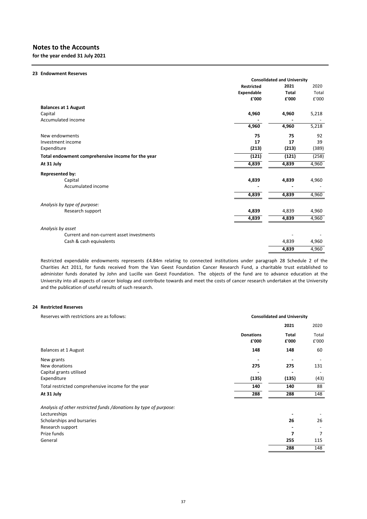**for the year ended 31 July 2021**

| 23 Endowment Reserves                             |                   |                                    |       |
|---------------------------------------------------|-------------------|------------------------------------|-------|
|                                                   |                   | <b>Consolidated and University</b> |       |
|                                                   | <b>Restricted</b> | 2021                               | 2020  |
|                                                   | Expendable        | <b>Total</b>                       | Total |
|                                                   | £'000             | £'000                              | £'000 |
| <b>Balances at 1 August</b>                       |                   |                                    |       |
| Capital                                           | 4,960             | 4,960                              | 5,218 |
| Accumulated income                                |                   |                                    |       |
|                                                   | 4,960             | 4,960                              | 5,218 |
| New endowments                                    | 75                | 75                                 | 92    |
| Investment income                                 | 17                | 17                                 | 39    |
| Expenditure                                       | (213)             | (213)                              | (389) |
| Total endowment comprehensive income for the year | (121)             | (121)                              | (258) |
| At 31 July                                        | 4,839             | 4,839                              | 4,960 |
| <b>Represented by:</b>                            |                   |                                    |       |
| Capital                                           | 4,839             | 4,839                              | 4,960 |
| Accumulated income                                |                   |                                    |       |
|                                                   | 4,839             | 4,839                              | 4,960 |
| Analysis by type of purpose:                      |                   |                                    |       |
| Research support                                  | 4,839             | 4,839                              | 4,960 |
|                                                   | 4,839             | 4,839                              | 4,960 |
| Analysis by asset                                 |                   |                                    |       |
| Current and non-current asset investments         |                   |                                    |       |
| Cash & cash equivalents                           |                   | 4,839                              | 4,960 |
|                                                   |                   | 4,839                              | 4,960 |

Restricted expendable endowments represents £4.84m relating to connected institutions under paragraph 28 Schedule 2 of the Charities Act 2011, for funds received from the Van Geest Foundation Cancer Research Fund, a charitable trust established to administer funds donated by John and Lucille van Geest Foundation. The objects of the fund are to advance education at the University into all aspects of cancer biology and contribute towards and meet the costs of cancer research undertaken at the University and the publication of useful results of such research.

### **24 Restricted Reserves**

| Reserves with restrictions are as follows:                        |                           | <b>Consolidated and University</b> |                |  |
|-------------------------------------------------------------------|---------------------------|------------------------------------|----------------|--|
|                                                                   |                           | 2021                               | 2020           |  |
|                                                                   | <b>Donations</b><br>£'000 | Total<br>£'000                     | Total<br>£'000 |  |
| Balances at 1 August                                              | 148                       | 148                                | 60             |  |
| New grants                                                        |                           |                                    |                |  |
| New donations                                                     | 275                       | 275                                | 131            |  |
| Capital grants utilised                                           |                           |                                    |                |  |
| Expenditure                                                       | (135)                     | (135)                              | (43)           |  |
| Total restricted comprehensive income for the year                | 140                       | 140                                | 88             |  |
| At 31 July                                                        | 288                       | 288                                | 148            |  |
| Analysis of other restricted funds /donations by type of purpose: |                           |                                    |                |  |
| Lectureships                                                      |                           |                                    |                |  |
| Scholarships and bursaries                                        |                           | 26                                 | 26             |  |
| Research support                                                  |                           |                                    |                |  |
| Prize funds                                                       |                           | 7                                  | 7              |  |
| General                                                           |                           | 255                                | 115            |  |
|                                                                   |                           | 288                                | 148            |  |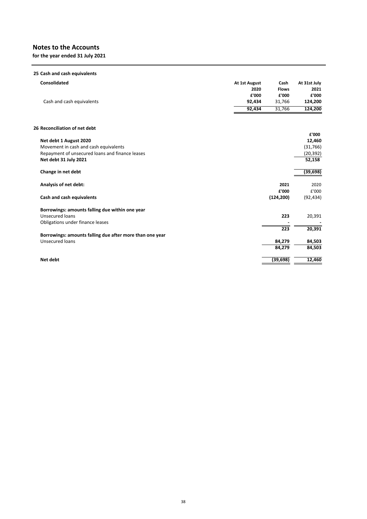**for the year ended 31 July 2021**

| 25 Cash and cash equivalents                             |               |              |              |
|----------------------------------------------------------|---------------|--------------|--------------|
| Consolidated                                             | At 1st August | Cash         | At 31st July |
|                                                          | 2020          | <b>Flows</b> | 2021         |
|                                                          | £'000         | £'000        | £'000        |
| Cash and cash equivalents                                | 92,434        | 31,766       | 124,200      |
|                                                          | 92,434        | 31,766       | 124,200      |
| 26 Reconciliation of net debt                            |               |              |              |
|                                                          |               |              | £'000        |
| Net debt 1 August 2020                                   |               |              | 12,460       |
| Movement in cash and cash equivalents                    |               |              | (31,766)     |
| Repayment of unsecured loans and finance leases          |               |              | (20, 392)    |
| Net debt 31 July 2021                                    |               |              | 52,158       |
| Change in net debt                                       |               |              | (39, 698)    |
| Analysis of net debt:                                    |               | 2021         | 2020         |
|                                                          |               | £'000        | £'000        |
| Cash and cash equivalents                                |               | (124, 200)   | (92, 434)    |
| Borrowings: amounts falling due within one year          |               |              |              |
| <b>Unsecured loans</b>                                   |               | 223          | 20,391       |
| Obligations under finance leases                         |               |              |              |
|                                                          |               | 223          | 20,391       |
| Borrowings: amounts falling due after more than one year |               |              |              |
| <b>Unsecured loans</b>                                   |               | 84,279       | 84,503       |
|                                                          |               | 84,279       | 84,503       |
| Net debt                                                 |               | (39, 698)    | 12,460       |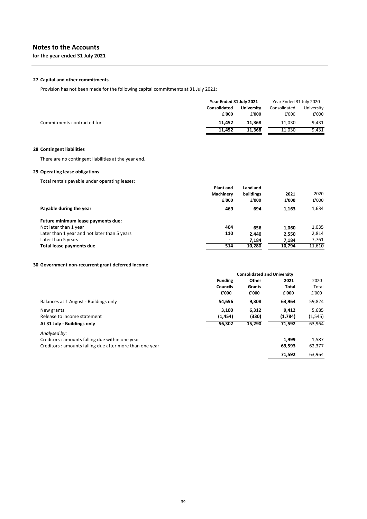# **27 Capital and other commitments**

Provision has not been made for the following capital commitments at 31 July 2021:

|                            | Year Ended 31 July 2021 |                   | Year Ended 31 July 2020 |            |
|----------------------------|-------------------------|-------------------|-------------------------|------------|
|                            | <b>Consolidated</b>     | <b>University</b> | Consolidated            | University |
|                            | £'000                   | £'000             | £'000                   | £'000      |
| Commitments contracted for | 11.452                  | 11.368            | 11.030                  | 9.431      |
|                            | 11.452                  | 11.368            | 11.030                  | 9,431      |

# **28 Contingent liabilities**

There are no contingent liabilities at the year end.

# **29 Operating lease obligations**

Total rentals payable under operating leases:

|                                              | <b>Plant and</b> | Land and  |        |        |
|----------------------------------------------|------------------|-----------|--------|--------|
|                                              | Machinery        | buildings | 2021   | 2020   |
|                                              | £'000            | £'000     | £'000  | £'000  |
| Payable during the year                      | 469              | 694       | 1,163  | 1,634  |
| Future minimum lease payments due:           |                  |           |        |        |
| Not later than 1 year                        | 404              | 656       | 1,060  | 1,035  |
| Later than 1 year and not later than 5 years | 110              | 2,440     | 2,550  | 2,814  |
| Later than 5 years                           |                  | 7.184     | 7,184  | 7,761  |
| Total lease payments due                     | 514              | 10,280    | 10.794 | 11,610 |

### **30 Government non‐recurrent grant deferred income**

|                                                         |                 | <b>Consolidated and University</b> |              |          |
|---------------------------------------------------------|-----------------|------------------------------------|--------------|----------|
|                                                         | <b>Funding</b>  | Other                              | 2021         | 2020     |
|                                                         | <b>Councils</b> | Grants                             | <b>Total</b> | Total    |
|                                                         | £'000           | £'000                              | £'000        | £'000    |
| Balances at 1 August - Buildings only                   | 54,656          | 9,308                              | 63,964       | 59,824   |
| New grants                                              | 3.100           | 6.312                              | 9.412        | 5,685    |
| Release to income statement                             | (1, 454)        | (330)                              | (1,784)      | (1, 545) |
| At 31 July - Buildings only                             | 56,302          | 15,290                             | 71.592       | 63,964   |
| Analysed by:                                            |                 |                                    |              |          |
| Creditors: amounts falling due within one year          |                 |                                    | 1,999        | 1,587    |
| Creditors: amounts falling due after more than one year |                 |                                    | 69,593       | 62,377   |
|                                                         |                 |                                    | 71.592       | 63.964   |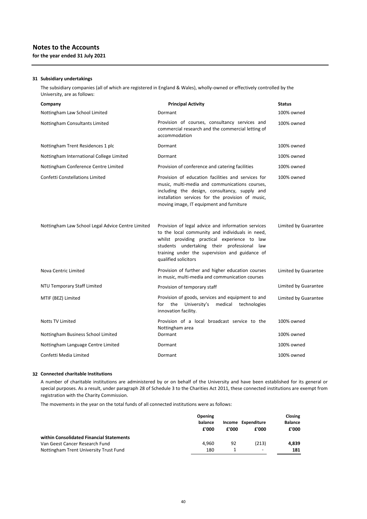# **Notes to the Accounts for the year ended 31 July 2021**

# **31 Subsidiary undertakings**

The subsidiary companies (all of which are registered in England & Wales), wholly‐owned or effectively controlled by the University, are as follows:

| Company                                           | <b>Principal Activity</b>                                                                                                                                                                                                                                                      | <b>Status</b>        |
|---------------------------------------------------|--------------------------------------------------------------------------------------------------------------------------------------------------------------------------------------------------------------------------------------------------------------------------------|----------------------|
| Nottingham Law School Limited                     | Dormant                                                                                                                                                                                                                                                                        | 100% owned           |
| Nottingham Consultants Limited                    | Provision of courses, consultancy services and<br>commercial research and the commercial letting of<br>accommodation                                                                                                                                                           | 100% owned           |
| Nottingham Trent Residences 1 plc                 | Dormant                                                                                                                                                                                                                                                                        | 100% owned           |
| Nottingham International College Limited          | Dormant                                                                                                                                                                                                                                                                        | 100% owned           |
| Nottingham Conference Centre Limited              | Provision of conference and catering facilities                                                                                                                                                                                                                                | 100% owned           |
| <b>Confetti Constellations Limited</b>            | Provision of education facilities and services for<br>music, multi-media and communications courses,<br>including the design, consultancy, supply and<br>installation services for the provision of music,<br>moving image, IT equipment and furniture                         | 100% owned           |
| Nottingham Law School Legal Advice Centre Limited | Provision of legal advice and information services<br>to the local community and individuals in need,<br>whilst providing practical experience to law<br>students undertaking their professional law<br>training under the supervision and guidance of<br>qualified solicitors | Limited by Guarantee |
| Nova Centric Limited                              | Provision of further and higher education courses<br>in music, multi-media and communication courses                                                                                                                                                                           | Limited by Guarantee |
| NTU Temporary Staff Limited                       | Provision of temporary staff                                                                                                                                                                                                                                                   | Limited by Guarantee |
| MTIF (BEZ) Limited                                | Provision of goods, services and equipment to and<br>for the<br>University's<br>medical technologies<br>innovation facility.                                                                                                                                                   | Limited by Guarantee |
| <b>Notts TV Limited</b>                           | Provision of a local broadcast service to the<br>Nottingham area                                                                                                                                                                                                               | 100% owned           |
| Nottingham Business School Limited                | Dormant                                                                                                                                                                                                                                                                        | 100% owned           |
| Nottingham Language Centre Limited                | Dormant                                                                                                                                                                                                                                                                        | 100% owned           |
| Confetti Media Limited                            | Dormant                                                                                                                                                                                                                                                                        | 100% owned           |

# **32 Connected charitable Institutions**

A number of charitable institutions are administered by or on behalf of the University and have been established for its general or special purposes. As a result, under paragraph 28 of Schedule 3 to the Charities Act 2011, these connected institutions are exempt from registration with the Charity Commission.

The movements in the year on the total funds of all connected institutions were as follows:

|                                          | <b>Opening</b><br>balance<br>£'000 | £'000 | Income Expenditure<br>£'000 | Closing<br><b>Balance</b><br>£'000 |
|------------------------------------------|------------------------------------|-------|-----------------------------|------------------------------------|
| within Consolidated Financial Statements |                                    |       |                             |                                    |
| Van Geest Cancer Research Fund           | 4.960                              | 92    | (213)                       | 4,839                              |
| Nottingham Trent University Trust Fund   | 180                                |       |                             | 181                                |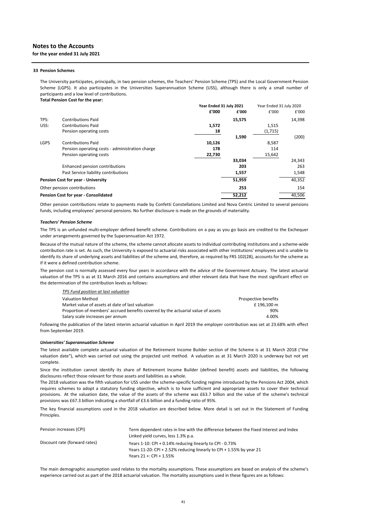# **for the year ended 31 July 2021**

#### **33 Pension Schemes**

The University participates, principally, in two pension schemes, the Teachers' Pension Scheme (TPS) and the Local Government Pension Scheme (LGPS). It also participates in the Universities Superannuation Scheme (USS), although there is only a small number of participants and a low level of contributions. **Total Pension Cost for the year:**

|             |                                                 | Year Ended 31 July 2021 |        | Year Ended 31 July 2020 |        |
|-------------|-------------------------------------------------|-------------------------|--------|-------------------------|--------|
|             |                                                 | £'000                   | £'000  | £'000                   | £'000  |
| TPS:        | <b>Contributions Paid</b>                       |                         | 15,575 |                         | 14,398 |
| USS:        | <b>Contributions Paid</b>                       | 1,572                   |        | 1,515                   |        |
|             | Pension operating costs                         | 18                      |        | (1,715)                 |        |
|             |                                                 |                         | 1,590  |                         | (200)  |
| <b>LGPS</b> | <b>Contributions Paid</b>                       | 10,126                  |        | 8,587                   |        |
|             | Pension operating costs - administration charge | 178                     |        | 114                     |        |
|             | Pension operating costs                         | 22,730                  |        | 15,642                  |        |
|             |                                                 |                         | 33,034 |                         | 24,343 |
|             | Enhanced pension contributions                  |                         | 203    |                         | 263    |
|             | Past Service liability contributions            |                         | 1,557  |                         | 1,548  |
|             | <b>Pension Cost for year - University</b>       |                         | 51,959 |                         | 40,352 |
|             | Other pension contributions                     |                         | 253    |                         | 154    |
|             | <b>Pension Cost for year - Consolidated</b>     |                         | 52.212 |                         | 40,506 |

Other pension contributions relate to payments made by Confetti Constellations Limited and Nova Centric Limited to several pensions funds, including employees' personal pensions. No further disclosure is made on the grounds of materiality.

#### *Teachers' Pension Scheme*

The TPS is an unfunded multi-employer defined benefit scheme. Contributions on a pay as you go basis are credited to the Exchequer under arrangements governed by the Superannuation Act 1972.

Because of the mutual nature of the scheme, the scheme cannot allocate assets to individual contributing institutions and a scheme-wide contribution rate is set. As such, the University is exposed to actuarial risks associated with other institutions' employees and is unable to identify its share of underlying assets and liabilities of the scheme and, therefore, as required by FRS 102(28), accounts for the scheme as if it were a defined contribution scheme.

The pension cost is normally assessed every four years in accordance with the advice of the Government Actuary. The latest actuarial valuation of the TPS is as at 31 March 2016 and contains assumptions and other relevant data that have the most significant effect on the determination of the contribution levels as follows:

| TPS Fund position at last valuation                                              |                      |  |
|----------------------------------------------------------------------------------|----------------------|--|
| Valuation Method                                                                 | Prospective benefits |  |
| Market value of assets at date of last valuation                                 | £196.100 m           |  |
| Proportion of members' accrued benefits covered by the actuarial value of assets | 90%                  |  |
| Salary scale increases per annum                                                 | 4.00%                |  |

Following the publication of the latest interim actuarial valuation in April 2019 the employer contribution was set at 23.68% with effect from September 2019.

#### *Universities' Superannuation Scheme*

The latest available complete actuarial valuation of the Retirement Income Builder section of the Scheme is at 31 March 2018 ("the valuation date"), which was carried out using the projected unit method. A valuation as at 31 March 2020 is underway but not yet complete.

Since the institution cannot identify its share of Retirement Income Builder (defined benefit) assets and liabilities, the following disclosures reflect those relevant for those assets and liabilities as a whole.

The 2018 valuation was the fifth valuation for USS under the scheme‐specific funding regime introduced by the Pensions Act 2004, which requires schemes to adopt a statutory funding objective, which is to have sufficient and appropriate assets to cover their technical provisions. At the valuation date, the value of the assets of the scheme was £63.7 billion and the value of the scheme's technical provisions was £67.3 billion indicating a shortfall of £3.6 billion and a funding ratio of 95%.

The key financial assumptions used in the 2018 valuation are described below. More detail is set out in the Statement of Funding Principles.

| Pension increases (CPI)       | Term dependent rates in line with the difference between the Fixed Interest and Index<br>Linked yield curves, less 1.3% p.a.                                |
|-------------------------------|-------------------------------------------------------------------------------------------------------------------------------------------------------------|
| Discount rate (forward rates) | Years 1-10: CPI + 0.14% reducing linearly to CPI - 0.73%<br>Years 11-20: CPI + 2.52% reducing linearly to CPI + 1.55% by year 21<br>Years 21 +: CPI + 1.55% |

The main demographic assumption used relates to the mortality assumptions. These assumptions are based on analysis of the scheme's experience carried out as part of the 2018 actuarial valuation. The mortality assumptions used in these figures are as follows: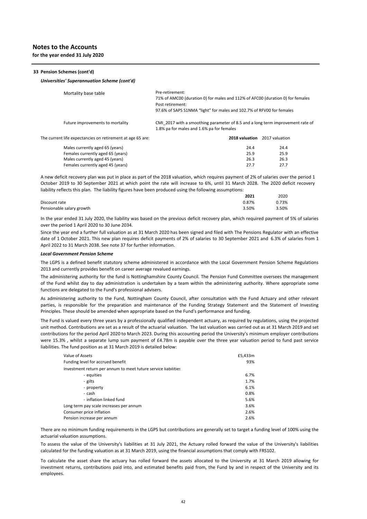**for the year ended 31 July 2020**

#### **33 Pension Schemes (cont'd)**

#### *Universities' Superannuation Scheme (cont'd)*

| Mortality base table                                                                                                                | Pre-retirement:<br>71% of AMC00 (duration 0) for males and 112% of AFC00 (duration 0) for females<br>Post retirement:<br>97.6% of SAPS S1NMA "light" for males and 102.7% of RFV00 for females |                |
|-------------------------------------------------------------------------------------------------------------------------------------|------------------------------------------------------------------------------------------------------------------------------------------------------------------------------------------------|----------------|
| Future improvements to mortality                                                                                                    | CMI 2017 with a smoothing parameter of 8.5 and a long term improvement rate of<br>1.8% pa for males and 1.6% pa for females                                                                    |                |
| The current life expectancies on retirement at age 65 are:                                                                          | 2018 valuation                                                                                                                                                                                 | 2017 valuation |
| $\mathbf{A} \cdot \mathbf{A}$ and $\mathbf{A} \cdot \mathbf{A}$ and $\mathbf{A} \cdot \mathbf{A}$ and $\mathbf{A} \cdot \mathbf{A}$ | $\sim$ $\sim$                                                                                                                                                                                  |                |

| Males currently aged 65 (years)   | 24.4 | 24.4 |
|-----------------------------------|------|------|
| Females currently aged 65 (years) | 25.9 | 25.9 |
| Males currently aged 45 (years)   | 26.3 | 26.3 |
| Females currently aged 45 (years) | 27.7 | 27.7 |

A new deficit recovery plan was put in place as part of the 2018 valuation, which requires payment of 2% of salaries over the period 1 October 2019 to 30 September 2021 at which point the rate will increase to 6%, until 31 March 2028. The 2020 deficit recovery liability reflects this plan. The liability figures have been produced using the following assumptions:

|                           | 2021  | 2020  |
|---------------------------|-------|-------|
| Discount rate             | 0.87% | 0.73% |
| Pensionable salary growth | 3.50% | 3.50% |

In the year ended 31 July 2020, the liability was based on the previous deficit recovery plan, which required payment of 5% of salaries over the period 1 April 2020 to 30 June 2034.

Since the year end a further full valuation as at 31 March 2020 has been signed and filed with The Pensions Regulator with an effective date of 1 October 2021. This new plan requires deficit payments of 2% of salaries to 30 September 2021 and 6.3% of salaries from 1 April 2022 to 31 March 2038. See note 37 for further information.

#### *Local Government Pension Scheme*

The LGPS is a defined benefit statutory scheme administered in accordance with the Local Government Pension Scheme Regulations 2013 and currently provides benefit on career average revalued earnings.

The administering authority for the fund is Nottinghamshire County Council. The Pension Fund Committee oversees the management of the Fund whilst day to day administration is undertaken by a team within the administering authority. Where appropriate some functions are delegated to the Fund's professional advisers.

As administering authority to the Fund, Nottingham County Council, after consultation with the Fund Actuary and other relevant parties, is responsible for the preparation and maintenance of the Funding Strategy Statement and the Statement of Investing Principles. These should be amended when appropriate based on the Fund's performance and funding.

The Fund is valued every three years by a professionally qualified independent actuary, as required by regulations, using the projected unit method. Contributions are set as a result of the actuarial valuation. The last valuation was carried out as at 31 March 2019 and set contributions for the period April 2020 to March 2023. During this accounting period the University's minimum employer contributions were 15.3%, whilst a separate lump sum payment of £4.78m is payable over the three year valuation period to fund past service liabilities. The fund position as at 31 March 2019 is detailed below:

| Value of Assets                                                | £5,433m |
|----------------------------------------------------------------|---------|
| Funding level for accrued benefit                              | 93%     |
| Investment return per annum to meet future service liabilities |         |
| - equities                                                     | 6.7%    |
| - gilts                                                        | 1.7%    |
| - property                                                     | 6.1%    |
| - cash                                                         | 0.8%    |
| - inflation linked fund                                        | 5.6%    |
| Long term pay scale increases per annum                        | 3.6%    |
| Consumer price inflation                                       | 2.6%    |
| Pension increase per annum                                     | 2.6%    |

There are no minimum funding requirements in the LGPS but contributions are generally set to target a funding level of 100% using the actuarial valuation assumptions.

To assess the value of the University's liabilities at 31 July 2021, the Actuary rolled forward the value of the University's liabilities calculated for the funding valuation as at 31 March 2019, using the financial assumptions that comply with FRS102.

To calculate the asset share the actuary has rolled forward the assets allocated to the University at 31 March 2019 allowing for investment returns, contributions paid into, and estimated benefits paid from, the Fund by and in respect of the University and its employees.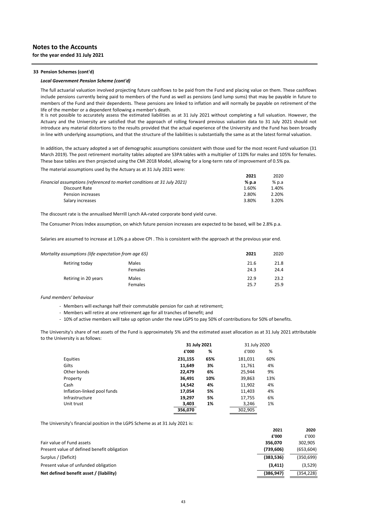#### **33 Pension Schemes (cont'd)**

#### *Local Government Pension Scheme (cont'd)*

The full actuarial valuation involved projecting future cashflows to be paid from the Fund and placing value on them. These cashflows include pensions currently being paid to members of the Fund as well as pensions (and lump sums) that may be payable in future to members of the Fund and their dependents. These pensions are linked to inflation and will normally be payable on retirement of the life of the member or a dependent following a member's death.

It is not possible to accurately assess the estimated liabilities as at 31 July 2021 without completing a full valuation. However, the Actuary and the University are satisfied that the approach of rolling forward previous valuation data to 31 July 2021 should not introduce any material distortions to the results provided that the actual experience of the University and the Fund has been broadly in line with underlying assumptions, and that the structure of the liabilities is substantially the same as at the latest formal valuation.

In addition, the actuary adopted a set of demographic assumptions consistent with those used for the most recent Fund valuation (31 March 2019). The post retirement mortality tables adopted are S3PA tables with a multiplier of 110% for males and 105% for females. These base tables are then projected using the CMI 2018 Model, allowing for a long-term rate of improvement of 0.5% pa.

**2021** 2020

The material assumptions used by the Actuary as at 31 July 2021 were:

|                                                                         | ZUZI  | ZUZU    |
|-------------------------------------------------------------------------|-------|---------|
| Financial assumptions (referenced to market conditions at 31 July 2021) | % p.a | $%$ p.a |
| Discount Rate                                                           | 1.60% | 1.40%   |
| Pension increases                                                       | 2.80% | 2.20%   |
| Salary increases                                                        | 3.80% | 3.20%   |
|                                                                         |       |         |

The discount rate is the annualised Merrill Lynch AA‐rated corporate bond yield curve.

The Consumer Prices Index assumption, on which future pension increases are expected to be based, will be 2.8% p.a.

Salaries are assumed to increase at 1.0% p.a above CPI . This is consistent with the approach at the previous year end.

| Mortality assumptions (life expectation from age 65) |              | 2021 | 2020 |
|------------------------------------------------------|--------------|------|------|
| Retiring today                                       | <b>Males</b> | 21.6 | 21.8 |
|                                                      | Females      | 24.3 | 24.4 |
| Retiring in 20 years                                 | Males        | 22.9 | 23.2 |
|                                                      | Females      | 25.7 | 25.9 |

#### *Fund members' behaviour*

- *‐* Members will exchange half their commutable pension for cash at retirement;
- *‐* Members will retire at one retirement age for all tranches of benefit; and

*‐* 10% of active members will take up option under the new LGPS to pay 50% of contributions for 50% of benefits.

The University's share of net assets of the Fund is approximately 5% and the estimated asset allocation as at 31 July 2021 attributable to the University is as follows:

|                             | 31 July 2021 |     | 31 July 2020 |     |
|-----------------------------|--------------|-----|--------------|-----|
|                             | £'000        | %   | £'000        | %   |
| Equities                    | 231,155      | 65% | 181,031      | 60% |
| Gilts                       | 11,649       | 3%  | 11,761       | 4%  |
| Other bonds                 | 22,479       | 6%  | 25.944       | 9%  |
| Property                    | 36,491       | 10% | 39,863       | 13% |
| Cash                        | 14,542       | 4%  | 11,902       | 4%  |
| Inflation-linked pool funds | 17,054       | 5%  | 11,403       | 4%  |
| Infrastructure              | 19,297       | 5%  | 17,755       | 6%  |
| Unit trust                  | 3,403        | 1%  | 3,246        | 1%  |
|                             | 356,070      |     | 302,905      |     |

The University's financial position in the LGPS Scheme as at 31 July 2021 is:

|                                             | 2021       | 2020       |
|---------------------------------------------|------------|------------|
|                                             | £'000      | £'000      |
| Fair value of Fund assets                   | 356.070    | 302.905    |
| Present value of defined benefit obligation | (739, 606) | (653, 604) |
| Surplus / (Deficit)                         | (383, 536) | (350, 699) |
| Present value of unfunded obligation        | (3, 411)   | (3,529)    |
| Net defined benefit asset / (liability)     | (386, 947) | (354,228)  |
|                                             |            |            |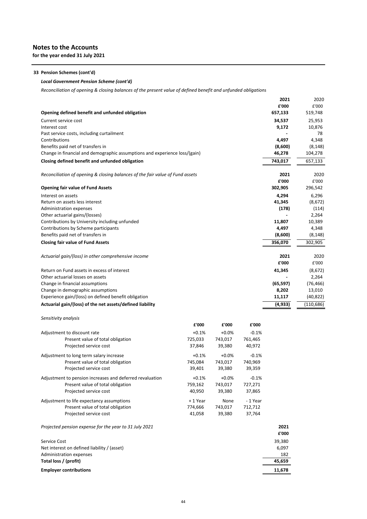**for the year ended 31 July 2021**

# **33 Pension Schemes (cont'd)**

### *Local Government Pension Scheme (cont'd)*

*Reconciliation of opening & closing balances of the present value of defined benefit and unfunded obligations*

|                                                                                           |         |         |             | 2021            | 2020                |
|-------------------------------------------------------------------------------------------|---------|---------|-------------|-----------------|---------------------|
|                                                                                           |         |         |             | £'000           | £'000               |
| Opening defined benefit and unfunded obligation                                           |         |         |             | 657,133         | 519,748             |
| Current service cost                                                                      |         |         |             | 34,537          | 25,953              |
| Interest cost                                                                             |         |         |             | 9,172           | 10,876              |
| Past service costs, including curtailment                                                 |         |         |             |                 | 78                  |
| Contributions                                                                             |         |         |             | 4,497           | 4,348               |
| Benefits paid net of transfers in                                                         |         |         |             | (8,600)         | (8, 148)            |
| Change in financial and demographic assumptions and experience loss/(gain)                |         |         |             | 46,278          | 104,278             |
| Closing defined benefit and unfunded obligation                                           |         |         |             | 743,017         | 657,133             |
|                                                                                           |         |         |             |                 |                     |
| Reconciliation of opening & closing balances of the fair value of Fund assets             |         |         |             | 2021            | 2020                |
|                                                                                           |         |         |             | £'000           | £'000               |
| <b>Opening fair value of Fund Assets</b>                                                  |         |         |             | 302,905         | 296,542             |
| Interest on assets                                                                        |         |         |             | 4,294           | 6,296               |
| Return on assets less interest                                                            |         |         |             | 41,345          | (8,672)             |
| <b>Administration expenses</b>                                                            |         |         |             | (178)           | (114)               |
| Other actuarial gains/(losses)                                                            |         |         |             |                 | 2,264               |
| Contributions by University including unfunded                                            |         |         |             | 11,807          | 10,389              |
| Contributions by Scheme participants                                                      |         |         |             | 4,497           | 4,348               |
| Benefits paid net of transfers in                                                         |         |         |             | (8,600)         | (8, 148)            |
| <b>Closing fair value of Fund Assets</b>                                                  |         |         |             | 356,070         | 302,905             |
|                                                                                           |         |         |             |                 |                     |
| Actuarial gain/(loss) in other comprehensive income                                       |         |         |             | 2021<br>£'000   | 2020                |
|                                                                                           |         |         |             |                 | £'000               |
| Return on Fund assets in excess of interest                                               |         |         |             | 41,345          | (8,672)             |
| Other actuarial losses on assets                                                          |         |         |             |                 | 2,264               |
| Change in financial assumptions                                                           |         |         |             | (65, 597)       | (76, 466)           |
| Change in demographic assumptions<br>Experience gain/(loss) on defined benefit obligation |         |         |             | 8,202<br>11,117 | 13,010<br>(40, 822) |
|                                                                                           |         |         |             |                 |                     |
| Actuarial gain/(loss) of the net assets/defined liability                                 |         |         |             | (4, 933)        | (110, 686)          |
| Sensitivity analysis                                                                      |         |         |             |                 |                     |
|                                                                                           | £'000   | £'000   | £'000       |                 |                     |
| Adjustment to discount rate                                                               | $+0.1%$ | $+0.0%$ | $-0.1%$     |                 |                     |
| <b>Drocont value of total obligation</b>                                                  | THE 022 | 742 017 | $7C1$ $ACE$ |                 |                     |

| Adjustment to discount rate                              | $+0.1%$  | $+0.0\%$ | -0.1%   |        |
|----------------------------------------------------------|----------|----------|---------|--------|
| Present value of total obligation                        | 725,033  | 743,017  | 761,465 |        |
| Projected service cost                                   | 37,846   | 39,380   | 40,972  |        |
| Adjustment to long term salary increase                  | $+0.1%$  | $+0.0%$  | $-0.1%$ |        |
| Present value of total obligation                        | 745,084  | 743,017  | 740,969 |        |
| Projected service cost                                   | 39,401   | 39,380   | 39,359  |        |
| Adjustment to pension increases and deferred revaluation | $+0.1%$  | $+0.0%$  | $-0.1%$ |        |
| Present value of total obligation                        | 759,162  | 743,017  | 727,271 |        |
| Projected service cost                                   | 40,950   | 39,380   | 37,865  |        |
| Adjustment to life expectancy assumptions                | + 1 Year | None     | -1 Year |        |
| Present value of total obligation                        | 774,666  | 743,017  | 712,712 |        |
| Projected service cost                                   | 41,058   | 39,380   | 37,764  |        |
| Projected pension expense for the year to 31 July 2021   |          |          |         | 2021   |
|                                                          |          |          |         | £'000  |
| Service Cost                                             |          |          |         | 39,380 |
| Net interest on defined liability / (asset)              |          |          |         | 6,097  |
| Administration expenses                                  |          |          |         | 182    |
| Total loss / (profit)                                    |          |          |         | 45,659 |

**Employer contributions 11,678**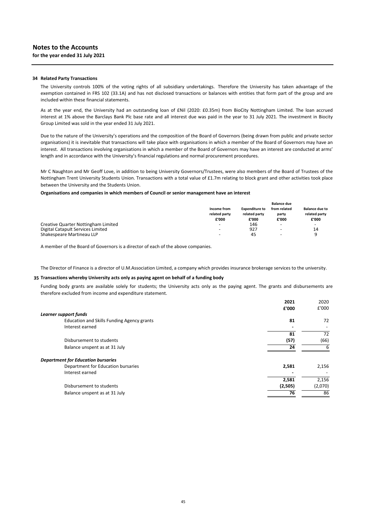### **34 Related Party Transactions**

The University controls 100% of the voting rights of all subsidiary undertakings. Therefore the University has taken advantage of the exemption contained in FRS 102 (33.1A) and has not disclosed transactions or balances with entities that form part of the group and are included within these financial statements.

As at the year end, the University had an outstanding loan of £Nil (2020: £0.35m) from BioCity Nottingham Limited. The loan accrued interest at 1% above the Barclays Bank Plc base rate and all interest due was paid in the year to 31 July 2021. The investment in Biocity Group Limited was sold in the year ended 31 July 2021.

Due to the nature of the University's operations and the composition of the Board of Governors (being drawn from public and private sector organisations) it is inevitable that transactions will take place with organisations in which a member of the Board of Governors may have an interest. All transactions involving organisations in which a member of the Board of Governors may have an interest are conducted at arms' length and in accordance with the University's financial regulations and normal procurement procedures.

Mr C Naughton and Mr Geoff Love, in addition to being University Governors/Trustees, were also members of the Board of Trustees of the Nottingham Trent University Students Union. Transactions with a total value of £1.7m relating to block grant and other activities took place between the University and the Students Union.

#### **Organisations and companies in which members of Council or senior management have an interest**

|                                     |                                       |                                        | <b>Balance due</b>             |                                                 |  |
|-------------------------------------|---------------------------------------|----------------------------------------|--------------------------------|-------------------------------------------------|--|
|                                     | Income from<br>related party<br>£'000 | <b>Expenditure to</b><br>related party | from related<br>party<br>£'000 | <b>Balance due to</b><br>related party<br>£'000 |  |
|                                     |                                       | £'000                                  |                                |                                                 |  |
| Creative Quarter Nottingham Limited | $\overline{\phantom{0}}$              | 146                                    | -                              | $\overline{\phantom{a}}$                        |  |
| Digital Catapult Services Limited   | $\overline{\phantom{0}}$              | 927                                    | ۰                              | 14                                              |  |
| Shakespeare Martineau LLP           | $\overline{\phantom{0}}$              | 45                                     | $\overline{\phantom{0}}$       | a                                               |  |

A member of the Board of Governors is a director of each of the above companies.

The Director of Finance is a director of U.M.Association Limited, a company which provides insurance brokerage services to the university.

#### **35 Transactions whereby University acts only as paying agent on behalf of a funding body**

Funding body grants are available solely for students; the University acts only as the paying agent. The grants and disbursements are therefore excluded from income and expenditure statement.

|                                                   | 2021    | 2020    |
|---------------------------------------------------|---------|---------|
|                                                   | £'000   | £'000   |
| Learner support funds                             |         |         |
| <b>Education and Skills Funding Agency grants</b> | 81      | 72      |
| Interest earned                                   |         |         |
|                                                   | 81      | 72      |
| Disbursement to students                          | (57)    | (66)    |
| Balance unspent as at 31 July                     | 24      | 6       |
| <b>Department for Education bursaries</b>         |         |         |
| Department for Education bursaries                | 2,581   | 2,156   |
| Interest earned                                   |         |         |
|                                                   | 2,581   | 2,156   |
| Disbursement to students                          | (2,505) | (2,070) |
| Balance unspent as at 31 July                     | 76      | 86      |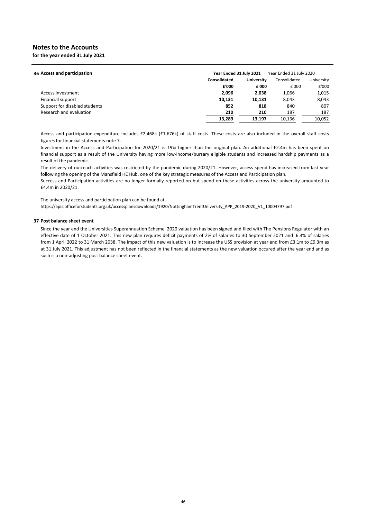**for the year ended 31 July 2021**

| 36 Access and participation   | Year Ended 31 July 2021 |                   | Year Ended 31 July 2020 |            |  |
|-------------------------------|-------------------------|-------------------|-------------------------|------------|--|
|                               | Consolidated            | <b>University</b> | Consolidated            | University |  |
|                               | £'000                   | £'000             | £'000                   | £'000      |  |
| Access investment             | 2.096                   | 2,038             | 1,066                   | 1,015      |  |
| Financial support             | 10,131                  | 10,131            | 8.043                   | 8,043      |  |
| Support for disabled students | 852                     | 818               | 840                     | 807        |  |
| Research and evaluation       | 210                     | 210               | 187                     | 187        |  |
|                               | 13,289                  | 13.197            | 10.136                  | 10,052     |  |
|                               |                         |                   |                         |            |  |

Access and participation expenditure includes £2,468k (£1,676k) of staff costs. These costs are also included in the overall staff costs figures for financial statements note 7.

Investment in the Access and Participation for 2020/21 is 19% higher than the original plan. An additional £2.4m has been spent on financial support as a result of the University having more low-income/bursary eligible students and increased hardship payments as a result of the pandemic.

The delivery of outreach activities was restricted by the pandemic during 2020/21. However, access spend has increased from last year following the opening of the Mansfield HE Hub, one of the key strategic measures of the Access and Participation plan.

Success and Participation activities are no longer formally reported on but spend on these activities across the university amounted to £4.4m in 2020/21.

The university access and participation plan can be found at

https://apis.officeforstudents.org.uk/accessplansdownloads/1920/NottinghamTrentUniversity\_APP\_2019‐2020\_V1\_10004797.pdf

### **37 Post balance sheet event**

Since the year end the Universities Superannuation Scheme 2020 valuation has been signed and filed with The Pensions Regulator with an effective date of 1 October 2021. This new plan requires deficit payments of 2% of salaries to 30 September 2021 and 6.3% of salaries from 1 April 2022 to 31 March 2038. The impact of this new valuation is to increase the USS provision at year end from £3.1m to £9.3m as at 31 July 2021. This adjustment has not been reflected in the financial statements as the new valuation occured after the year end and as such is a non‐adjusting post balance sheet event.